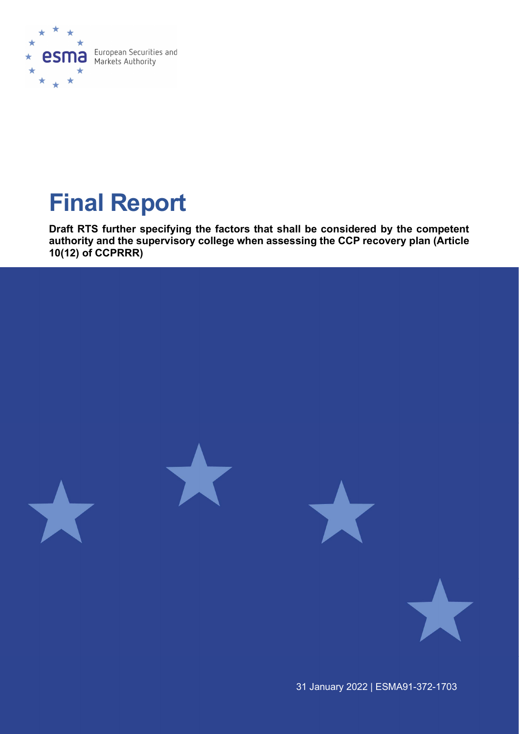

# Final Report

Draft RTS further specifying the factors that shall be considered by the competent authority and the supervisory college when assessing the CCP recovery plan (Article 10(12) of CCPRRR)



31 January 2022 | ESMA91-372-1703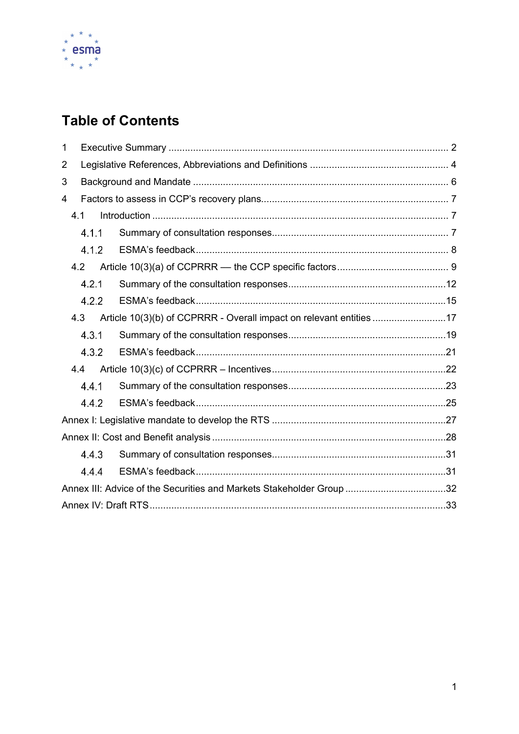

# **Table of Contents**

| 1              |       |                                                                      |  |
|----------------|-------|----------------------------------------------------------------------|--|
| $\overline{2}$ |       |                                                                      |  |
| 3              |       |                                                                      |  |
| 4              |       |                                                                      |  |
|                | 4.1   |                                                                      |  |
|                | 4.1.1 |                                                                      |  |
|                | 4.1.2 |                                                                      |  |
|                | 4.2   |                                                                      |  |
|                | 4.2.1 |                                                                      |  |
|                | 4.2.2 |                                                                      |  |
|                | 4.3   | Article 10(3)(b) of CCPRRR - Overall impact on relevant entities 17  |  |
|                | 4.3.1 |                                                                      |  |
|                | 4.3.2 |                                                                      |  |
|                | 4.4   |                                                                      |  |
|                | 4.4.1 |                                                                      |  |
|                | 4.4.2 |                                                                      |  |
|                |       |                                                                      |  |
|                |       |                                                                      |  |
|                | 4.4.3 |                                                                      |  |
|                | 4.4.4 |                                                                      |  |
|                |       | Annex III: Advice of the Securities and Markets Stakeholder Group 32 |  |
|                |       |                                                                      |  |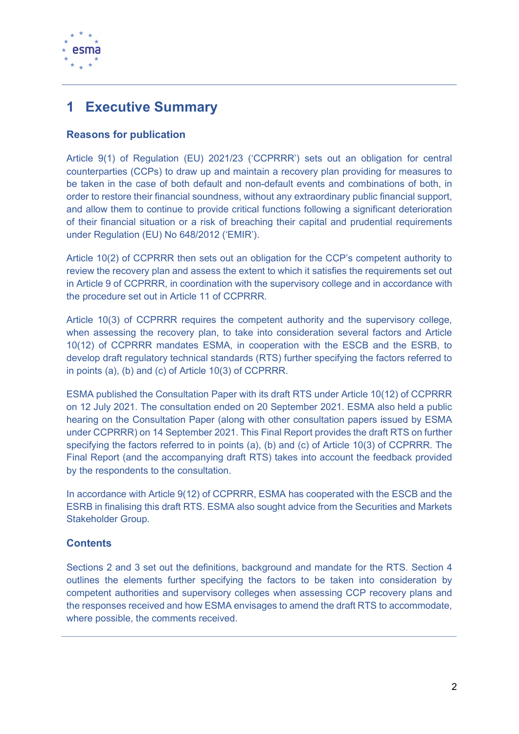

# 1 Executive Summary

# Reasons for publication

Article 9(1) of Regulation (EU) 2021/23 ('CCPRRR') sets out an obligation for central counterparties (CCPs) to draw up and maintain a recovery plan providing for measures to be taken in the case of both default and non-default events and combinations of both, in order to restore their financial soundness, without any extraordinary public financial support, and allow them to continue to provide critical functions following a significant deterioration of their financial situation or a risk of breaching their capital and prudential requirements under Regulation (EU) No 648/2012 ('EMIR').

Article 10(2) of CCPRRR then sets out an obligation for the CCP's competent authority to review the recovery plan and assess the extent to which it satisfies the requirements set out in Article 9 of CCPRRR, in coordination with the supervisory college and in accordance with the procedure set out in Article 11 of CCPRRR.

Article 10(3) of CCPRRR requires the competent authority and the supervisory college, when assessing the recovery plan, to take into consideration several factors and Article 10(12) of CCPRRR mandates ESMA, in cooperation with the ESCB and the ESRB, to develop draft regulatory technical standards (RTS) further specifying the factors referred to in points (a), (b) and (c) of Article 10(3) of CCPRRR.

ESMA published the Consultation Paper with its draft RTS under Article 10(12) of CCPRRR on 12 July 2021. The consultation ended on 20 September 2021. ESMA also held a public hearing on the Consultation Paper (along with other consultation papers issued by ESMA under CCPRRR) on 14 September 2021. This Final Report provides the draft RTS on further specifying the factors referred to in points (a), (b) and (c) of Article 10(3) of CCPRRR. The Final Report (and the accompanying draft RTS) takes into account the feedback provided by the respondents to the consultation.

In accordance with Article 9(12) of CCPRRR, ESMA has cooperated with the ESCB and the ESRB in finalising this draft RTS. ESMA also sought advice from the Securities and Markets Stakeholder Group.

# **Contents**

Sections 2 and 3 set out the definitions, background and mandate for the RTS. Section 4 outlines the elements further specifying the factors to be taken into consideration by competent authorities and supervisory colleges when assessing CCP recovery plans and the responses received and how ESMA envisages to amend the draft RTS to accommodate, where possible, the comments received.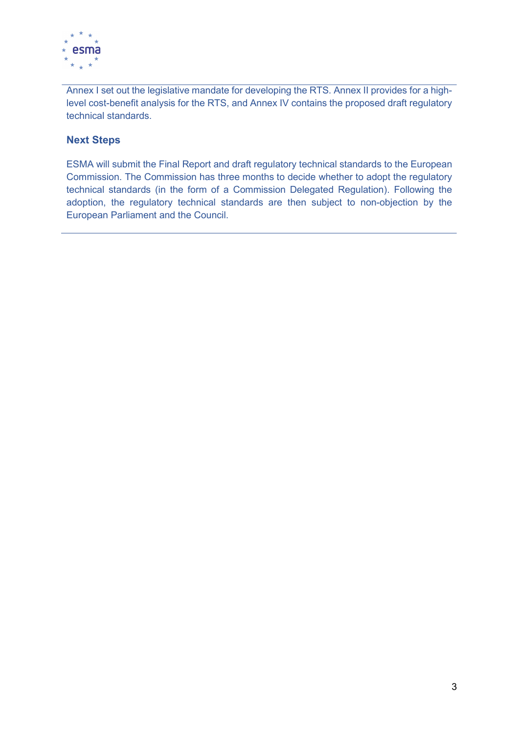

Annex I set out the legislative mandate for developing the RTS. Annex II provides for a highlevel cost-benefit analysis for the RTS, and Annex IV contains the proposed draft regulatory technical standards.

# Next Steps

ESMA will submit the Final Report and draft regulatory technical standards to the European Commission. The Commission has three months to decide whether to adopt the regulatory technical standards (in the form of a Commission Delegated Regulation). Following the adoption, the regulatory technical standards are then subject to non-objection by the European Parliament and the Council.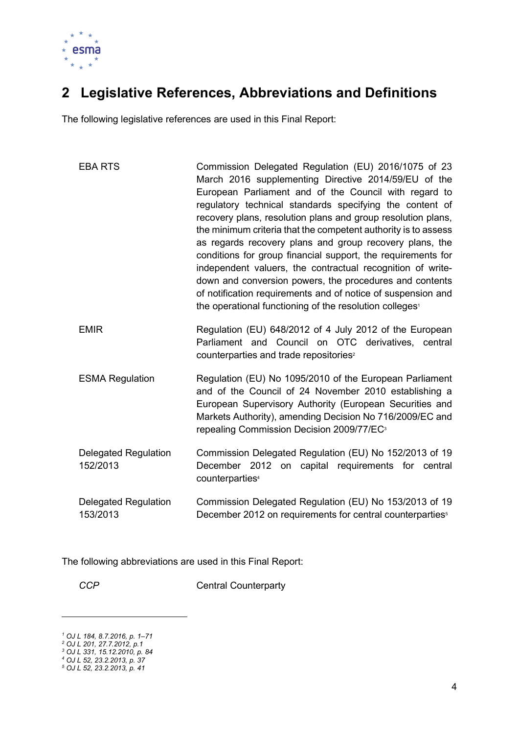

# 2 Legislative References, Abbreviations and Definitions

The following legislative references are used in this Final Report:

| <b>EBA RTS</b>                          | Commission Delegated Regulation (EU) 2016/1075 of 23<br>March 2016 supplementing Directive 2014/59/EU of the<br>European Parliament and of the Council with regard to<br>regulatory technical standards specifying the content of<br>recovery plans, resolution plans and group resolution plans,<br>the minimum criteria that the competent authority is to assess<br>as regards recovery plans and group recovery plans, the<br>conditions for group financial support, the requirements for<br>independent valuers, the contractual recognition of write-<br>down and conversion powers, the procedures and contents<br>of notification requirements and of notice of suspension and<br>the operational functioning of the resolution colleges <sup>1</sup> |
|-----------------------------------------|----------------------------------------------------------------------------------------------------------------------------------------------------------------------------------------------------------------------------------------------------------------------------------------------------------------------------------------------------------------------------------------------------------------------------------------------------------------------------------------------------------------------------------------------------------------------------------------------------------------------------------------------------------------------------------------------------------------------------------------------------------------|
| <b>EMIR</b>                             | Regulation (EU) 648/2012 of 4 July 2012 of the European<br>Parliament and Council on OTC derivatives, central<br>counterparties and trade repositories <sup>2</sup>                                                                                                                                                                                                                                                                                                                                                                                                                                                                                                                                                                                            |
| <b>ESMA Regulation</b>                  | Regulation (EU) No 1095/2010 of the European Parliament<br>and of the Council of 24 November 2010 establishing a<br>European Supervisory Authority (European Securities and<br>Markets Authority), amending Decision No 716/2009/EC and<br>repealing Commission Decision 2009/77/EC <sup>3</sup>                                                                                                                                                                                                                                                                                                                                                                                                                                                               |
| <b>Delegated Regulation</b><br>152/2013 | Commission Delegated Regulation (EU) No 152/2013 of 19<br>December 2012 on capital requirements for central<br>counterparties <sup>4</sup>                                                                                                                                                                                                                                                                                                                                                                                                                                                                                                                                                                                                                     |
| <b>Delegated Regulation</b><br>153/2013 | Commission Delegated Regulation (EU) No 153/2013 of 19<br>December 2012 on requirements for central counterparties <sup>5</sup>                                                                                                                                                                                                                                                                                                                                                                                                                                                                                                                                                                                                                                |

The following abbreviations are used in this Final Report:

CCP Central Counterparty

<sup>1</sup> OJ L 184, 8.7.2016, p. 1–71 2 OJ L 201, 27.7.2012, p.1 3 OJ L 331, 15.12.2010, p. 84 4 OJ L 52, 23.2.2013, p. 37 5 OJ L 52, 23.2.2013, p. 41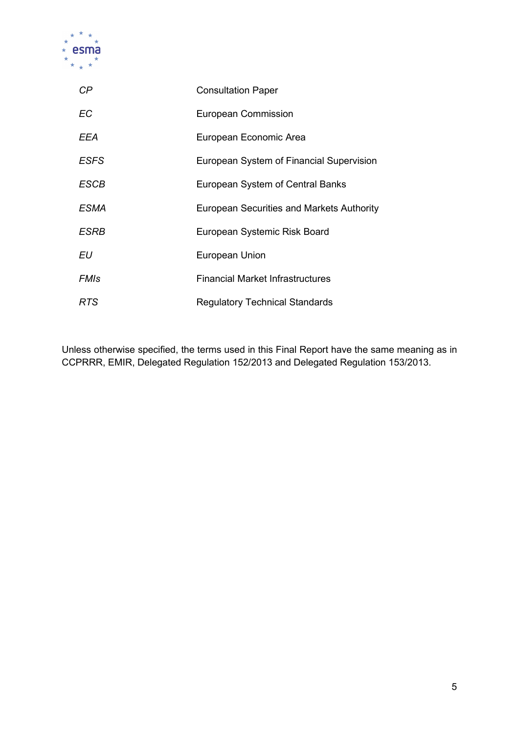

| СP          | <b>Consultation Paper</b>                        |
|-------------|--------------------------------------------------|
| <b>EC</b>   | <b>European Commission</b>                       |
| EEA         | European Economic Area                           |
| <b>ESFS</b> | European System of Financial Supervision         |
| ESCB        | European System of Central Banks                 |
| ESMA        | <b>European Securities and Markets Authority</b> |
| ESRB        | European Systemic Risk Board                     |
| EU          | European Union                                   |
| FMIs        | <b>Financial Market Infrastructures</b>          |
| RTS         | <b>Regulatory Technical Standards</b>            |

Unless otherwise specified, the terms used in this Final Report have the same meaning as in CCPRRR, EMIR, Delegated Regulation 152/2013 and Delegated Regulation 153/2013.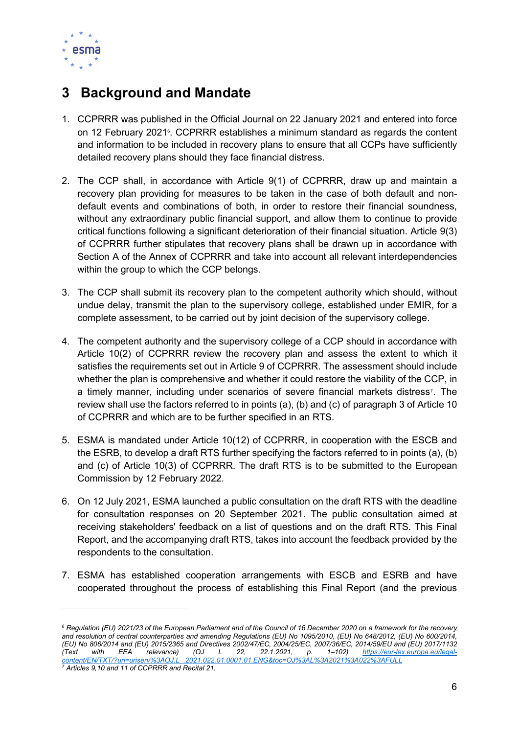

# 3 Background and Mandate

- 1. CCPRRR was published in the Official Journal on 22 January 2021 and entered into force on 12 February 20216. CCPRRR establishes a minimum standard as regards the content and information to be included in recovery plans to ensure that all CCPs have sufficiently detailed recovery plans should they face financial distress.
- 2. The CCP shall, in accordance with Article 9(1) of CCPRRR, draw up and maintain a recovery plan providing for measures to be taken in the case of both default and nondefault events and combinations of both, in order to restore their financial soundness, without any extraordinary public financial support, and allow them to continue to provide critical functions following a significant deterioration of their financial situation. Article 9(3) of CCPRRR further stipulates that recovery plans shall be drawn up in accordance with Section A of the Annex of CCPRRR and take into account all relevant interdependencies within the group to which the CCP belongs.
- 3. The CCP shall submit its recovery plan to the competent authority which should, without undue delay, transmit the plan to the supervisory college, established under EMIR, for a complete assessment, to be carried out by joint decision of the supervisory college.
- 4. The competent authority and the supervisory college of a CCP should in accordance with Article 10(2) of CCPRRR review the recovery plan and assess the extent to which it satisfies the requirements set out in Article 9 of CCPRRR. The assessment should include whether the plan is comprehensive and whether it could restore the viability of the CCP, in a timely manner, including under scenarios of severe financial markets distress<sup>7</sup>. The review shall use the factors referred to in points (a), (b) and (c) of paragraph 3 of Article 10 of CCPRRR and which are to be further specified in an RTS.
- 5. ESMA is mandated under Article 10(12) of CCPRRR, in cooperation with the ESCB and the ESRB, to develop a draft RTS further specifying the factors referred to in points (a), (b) and (c) of Article 10(3) of CCPRRR. The draft RTS is to be submitted to the European Commission by 12 February 2022.
- 6. On 12 July 2021, ESMA launched a public consultation on the draft RTS with the deadline for consultation responses on 20 September 2021. The public consultation aimed at receiving stakeholders' feedback on a list of questions and on the draft RTS. This Final Report, and the accompanying draft RTS, takes into account the feedback provided by the respondents to the consultation.
- 7. ESMA has established cooperation arrangements with ESCB and ESRB and have cooperated throughout the process of establishing this Final Report (and the previous

<sup>&</sup>lt;sup>6</sup> Regulation (EU) 2021/23 of the European Parliament and of the Council of 16 December 2020 on a framework for the recovery and resolution of central counterparties and amending Regulations (EU) No 1095/2010, (EU) No 648/2012, (EU) No 600/2014, (EU) No 806/2014 and (EU) 2015/2365 and Directives 2002/47/EC, 2004/25/EC, 2007/36/EC, 2014/59/EU and (EU) 2017/1132<br>(Text with EEA relevance) (OJ L 22, 22.1.2021, p. 1–102) <u>https://eur-lex.europa.eu/legal-</u> (Text with EEA relevance) (OJ L 22, 22.1.2021, p. 1–102) https://eur-lex.europa.eu/legalcontent - Content - Content - URISO - OSSAL - CONTENT - CONTENT - CONTENT - CONTENT - CONTENT - CONTENT - CONT 7 Articles 9,10 and 11 of CCPRRR and Recital 21.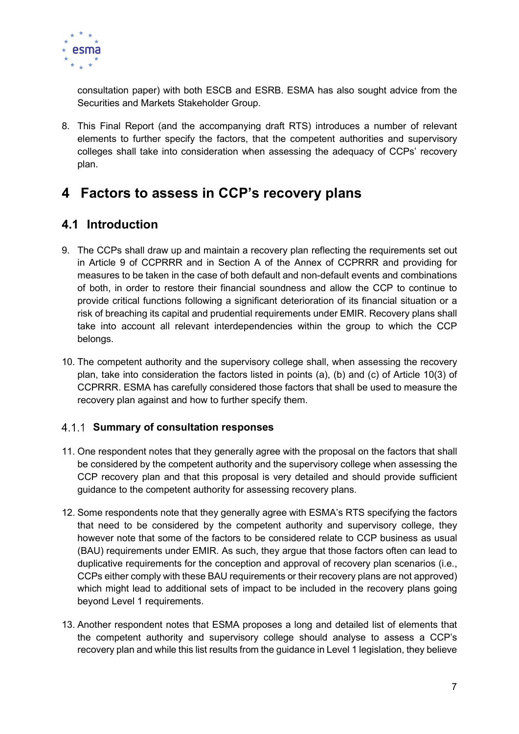

consultation paper) with both ESCB and ESRB. ESMA has also sought advice from the Securities and Markets Stakeholder Group.

8. This Final Report (and the accompanying draft RTS) introduces a number of relevant elements to further specify the factors, that the competent authorities and supervisory colleges shall take into consideration when assessing the adequacy of CCPs' recovery plan.

# 4 Factors to assess in CCP's recovery plans

# 4.1 Introduction

- 9. The CCPs shall draw up and maintain a recovery plan reflecting the requirements set out in Article 9 of CCPRRR and in Section A of the Annex of CCPRRR and providing for measures to be taken in the case of both default and non-default events and combinations of both, in order to restore their financial soundness and allow the CCP to continue to provide critical functions following a significant deterioration of its financial situation or a risk of breaching its capital and prudential requirements under EMIR. Recovery plans shall take into account all relevant interdependencies within the group to which the CCP belongs.
- 10. The competent authority and the supervisory college shall, when assessing the recovery plan, take into consideration the factors listed in points (a), (b) and (c) of Article 10(3) of CCPRRR. ESMA has carefully considered those factors that shall be used to measure the recovery plan against and how to further specify them.

# 4.1.1 Summary of consultation responses

- 11. One respondent notes that they generally agree with the proposal on the factors that shall be considered by the competent authority and the supervisory college when assessing the CCP recovery plan and that this proposal is very detailed and should provide sufficient guidance to the competent authority for assessing recovery plans.
- 12. Some respondents note that they generally agree with ESMA's RTS specifying the factors that need to be considered by the competent authority and supervisory college, they however note that some of the factors to be considered relate to CCP business as usual (BAU) requirements under EMIR. As such, they argue that those factors often can lead to duplicative requirements for the conception and approval of recovery plan scenarios (i.e., CCPs either comply with these BAU requirements or their recovery plans are not approved) which might lead to additional sets of impact to be included in the recovery plans going beyond Level 1 requirements.
- 13. Another respondent notes that ESMA proposes a long and detailed list of elements that the competent authority and supervisory college should analyse to assess a CCP's recovery plan and while this list results from the guidance in Level 1 legislation, they believe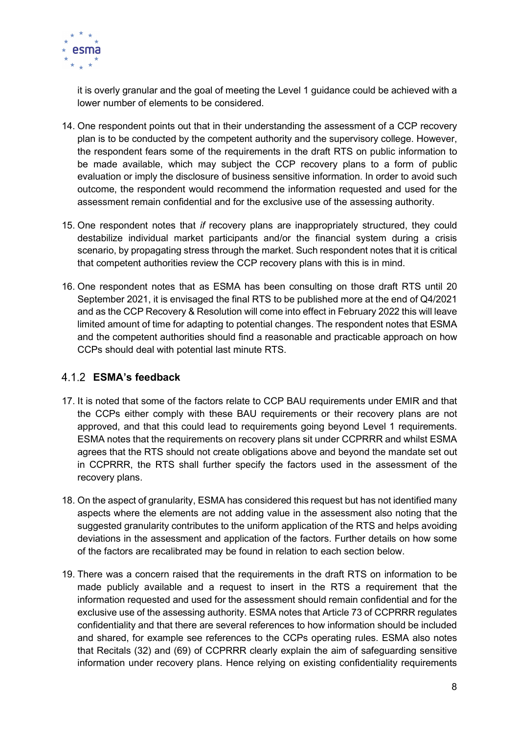

it is overly granular and the goal of meeting the Level 1 guidance could be achieved with a lower number of elements to be considered.

- 14. One respondent points out that in their understanding the assessment of a CCP recovery plan is to be conducted by the competent authority and the supervisory college. However, the respondent fears some of the requirements in the draft RTS on public information to be made available, which may subject the CCP recovery plans to a form of public evaluation or imply the disclosure of business sensitive information. In order to avoid such outcome, the respondent would recommend the information requested and used for the assessment remain confidential and for the exclusive use of the assessing authority.
- 15. One respondent notes that if recovery plans are inappropriately structured, they could destabilize individual market participants and/or the financial system during a crisis scenario, by propagating stress through the market. Such respondent notes that it is critical that competent authorities review the CCP recovery plans with this is in mind.
- 16. One respondent notes that as ESMA has been consulting on those draft RTS until 20 September 2021, it is envisaged the final RTS to be published more at the end of Q4/2021 and as the CCP Recovery & Resolution will come into effect in February 2022 this will leave limited amount of time for adapting to potential changes. The respondent notes that ESMA and the competent authorities should find a reasonable and practicable approach on how CCPs should deal with potential last minute RTS.

# ESMA's feedback

- 17. It is noted that some of the factors relate to CCP BAU requirements under EMIR and that the CCPs either comply with these BAU requirements or their recovery plans are not approved, and that this could lead to requirements going beyond Level 1 requirements. ESMA notes that the requirements on recovery plans sit under CCPRRR and whilst ESMA agrees that the RTS should not create obligations above and beyond the mandate set out in CCPRRR, the RTS shall further specify the factors used in the assessment of the recovery plans.
- 18. On the aspect of granularity, ESMA has considered this request but has not identified many aspects where the elements are not adding value in the assessment also noting that the suggested granularity contributes to the uniform application of the RTS and helps avoiding deviations in the assessment and application of the factors. Further details on how some of the factors are recalibrated may be found in relation to each section below.
- 19. There was a concern raised that the requirements in the draft RTS on information to be made publicly available and a request to insert in the RTS a requirement that the information requested and used for the assessment should remain confidential and for the exclusive use of the assessing authority. ESMA notes that Article 73 of CCPRRR regulates confidentiality and that there are several references to how information should be included and shared, for example see references to the CCPs operating rules. ESMA also notes that Recitals (32) and (69) of CCPRRR clearly explain the aim of safeguarding sensitive information under recovery plans. Hence relying on existing confidentiality requirements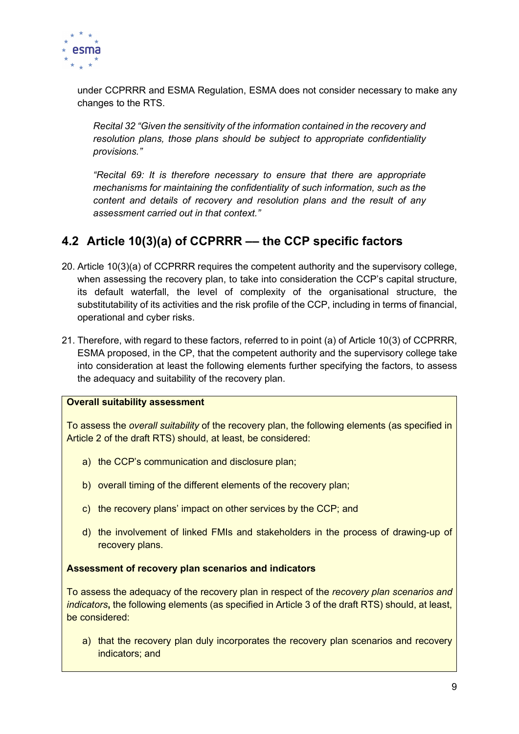

under CCPRRR and ESMA Regulation, ESMA does not consider necessary to make any changes to the RTS.

Recital 32 "Given the sensitivity of the information contained in the recovery and resolution plans, those plans should be subject to appropriate confidentiality provisions."

"Recital 69: It is therefore necessary to ensure that there are appropriate mechanisms for maintaining the confidentiality of such information, such as the content and details of recovery and resolution plans and the result of any assessment carried out in that context."

# 4.2 Article 10(3)(a) of CCPRRR –– the CCP specific factors

- 20. Article 10(3)(a) of CCPRRR requires the competent authority and the supervisory college, when assessing the recovery plan, to take into consideration the CCP's capital structure, its default waterfall, the level of complexity of the organisational structure, the substitutability of its activities and the risk profile of the CCP, including in terms of financial, operational and cyber risks.
- 21. Therefore, with regard to these factors, referred to in point (a) of Article 10(3) of CCPRRR, ESMA proposed, in the CP, that the competent authority and the supervisory college take into consideration at least the following elements further specifying the factors, to assess the adequacy and suitability of the recovery plan.

#### Overall suitability assessment

To assess the overall suitability of the recovery plan, the following elements (as specified in Article 2 of the draft RTS) should, at least, be considered:

- a) the CCP's communication and disclosure plan;
- b) overall timing of the different elements of the recovery plan;
- c) the recovery plans' impact on other services by the CCP; and
- d) the involvement of linked FMIs and stakeholders in the process of drawing-up of recovery plans.

# Assessment of recovery plan scenarios and indicators

To assess the adequacy of the recovery plan in respect of the recovery plan scenarios and indicators, the following elements (as specified in Article 3 of the draft RTS) should, at least, be considered:

a) that the recovery plan duly incorporates the recovery plan scenarios and recovery indicators; and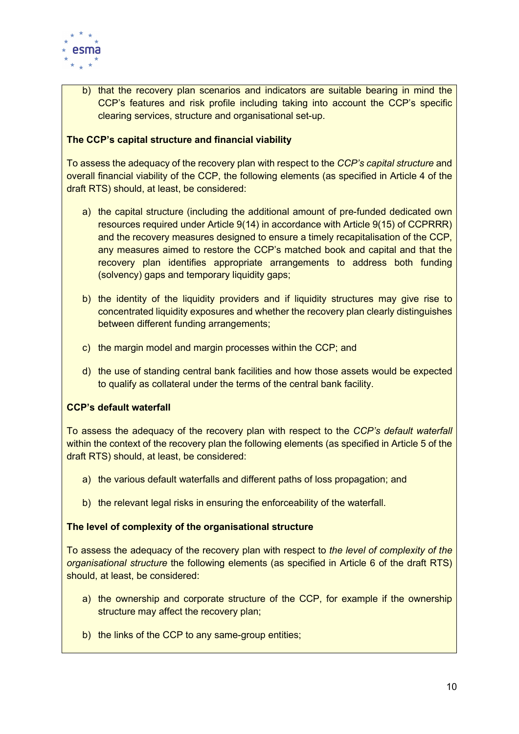

b) that the recovery plan scenarios and indicators are suitable bearing in mind the CCP's features and risk profile including taking into account the CCP's specific clearing services, structure and organisational set-up.

### The CCP's capital structure and financial viability

To assess the adequacy of the recovery plan with respect to the CCP's capital structure and overall financial viability of the CCP, the following elements (as specified in Article 4 of the draft RTS) should, at least, be considered:

- a) the capital structure (including the additional amount of pre-funded dedicated own resources required under Article 9(14) in accordance with Article 9(15) of CCPRRR) and the recovery measures designed to ensure a timely recapitalisation of the CCP, any measures aimed to restore the CCP's matched book and capital and that the recovery plan identifies appropriate arrangements to address both funding (solvency) gaps and temporary liquidity gaps;
- b) the identity of the liquidity providers and if liquidity structures may give rise to concentrated liquidity exposures and whether the recovery plan clearly distinguishes between different funding arrangements;
- c) the margin model and margin processes within the CCP; and
- d) the use of standing central bank facilities and how those assets would be expected to qualify as collateral under the terms of the central bank facility.

#### CCP's default waterfall

To assess the adequacy of the recovery plan with respect to the CCP's default waterfall within the context of the recovery plan the following elements (as specified in Article 5 of the draft RTS) should, at least, be considered:

- a) the various default waterfalls and different paths of loss propagation; and
- b) the relevant legal risks in ensuring the enforceability of the waterfall.

#### The level of complexity of the organisational structure

To assess the adequacy of the recovery plan with respect to the level of complexity of the organisational structure the following elements (as specified in Article 6 of the draft RTS) should, at least, be considered:

- a) the ownership and corporate structure of the CCP, for example if the ownership structure may affect the recovery plan;
- b) the links of the CCP to any same-group entities;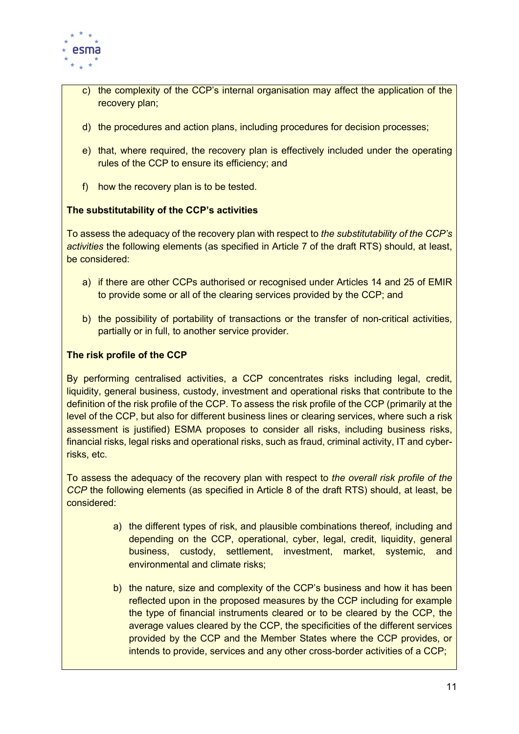

- c) the complexity of the CCP's internal organisation may affect the application of the recovery plan;
- d) the procedures and action plans, including procedures for decision processes;
- e) that, where required, the recovery plan is effectively included under the operating rules of the CCP to ensure its efficiency; and
- f) how the recovery plan is to be tested.

# The substitutability of the CCP's activities

To assess the adequacy of the recovery plan with respect to the substitutability of the CCP's activities the following elements (as specified in Article 7 of the draft RTS) should, at least, be considered:

- a) if there are other CCPs authorised or recognised under Articles 14 and 25 of EMIR to provide some or all of the clearing services provided by the CCP; and
- b) the possibility of portability of transactions or the transfer of non-critical activities, partially or in full, to another service provider.

### The risk profile of the CCP

By performing centralised activities, a CCP concentrates risks including legal, credit, liquidity, general business, custody, investment and operational risks that contribute to the definition of the risk profile of the CCP. To assess the risk profile of the CCP (primarily at the level of the CCP, but also for different business lines or clearing services, where such a risk assessment is justified) ESMA proposes to consider all risks, including business risks, financial risks, legal risks and operational risks, such as fraud, criminal activity, IT and cyberrisks, etc.

To assess the adequacy of the recovery plan with respect to the overall risk profile of the CCP the following elements (as specified in Article 8 of the draft RTS) should, at least, be considered:

- a) the different types of risk, and plausible combinations thereof, including and depending on the CCP, operational, cyber, legal, credit, liquidity, general business, custody, settlement, investment, market, systemic, and environmental and climate risks;
- b) the nature, size and complexity of the CCP's business and how it has been reflected upon in the proposed measures by the CCP including for example the type of financial instruments cleared or to be cleared by the CCP, the average values cleared by the CCP, the specificities of the different services provided by the CCP and the Member States where the CCP provides, or intends to provide, services and any other cross-border activities of a CCP;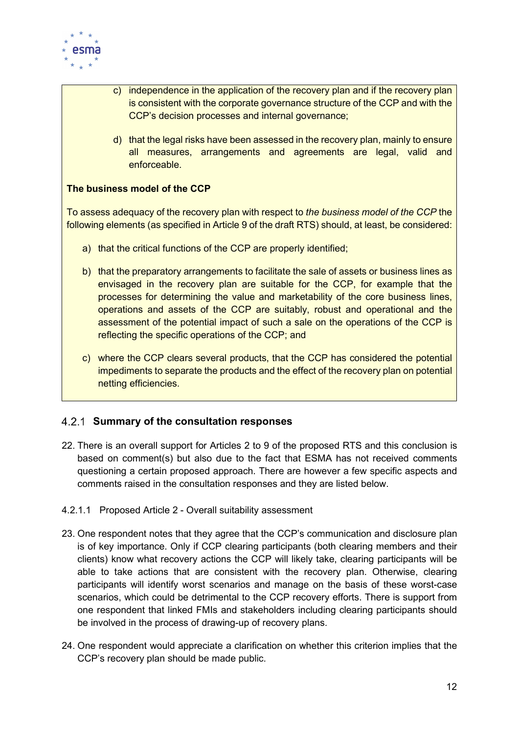

- c) independence in the application of the recovery plan and if the recovery plan is consistent with the corporate governance structure of the CCP and with the CCP's decision processes and internal governance;
	- d) that the legal risks have been assessed in the recovery plan, mainly to ensure all measures, arrangements and agreements are legal, valid and enforceable.

# The business model of the CCP

To assess adequacy of the recovery plan with respect to the business model of the CCP the following elements (as specified in Article 9 of the draft RTS) should, at least, be considered:

- a) that the critical functions of the CCP are properly identified;
- b) that the preparatory arrangements to facilitate the sale of assets or business lines as envisaged in the recovery plan are suitable for the CCP, for example that the processes for determining the value and marketability of the core business lines, operations and assets of the CCP are suitably, robust and operational and the assessment of the potential impact of such a sale on the operations of the CCP is reflecting the specific operations of the CCP; and
- c) where the CCP clears several products, that the CCP has considered the potential impediments to separate the products and the effect of the recovery plan on potential netting efficiencies.

# 4.2.1 Summary of the consultation responses

- 22. There is an overall support for Articles 2 to 9 of the proposed RTS and this conclusion is based on comment(s) but also due to the fact that ESMA has not received comments questioning a certain proposed approach. There are however a few specific aspects and comments raised in the consultation responses and they are listed below.
- 4.2.1.1 Proposed Article 2 Overall suitability assessment
- 23. One respondent notes that they agree that the CCP's communication and disclosure plan is of key importance. Only if CCP clearing participants (both clearing members and their clients) know what recovery actions the CCP will likely take, clearing participants will be able to take actions that are consistent with the recovery plan. Otherwise, clearing participants will identify worst scenarios and manage on the basis of these worst-case scenarios, which could be detrimental to the CCP recovery efforts. There is support from one respondent that linked FMIs and stakeholders including clearing participants should be involved in the process of drawing-up of recovery plans.
- 24. One respondent would appreciate a clarification on whether this criterion implies that the CCP's recovery plan should be made public.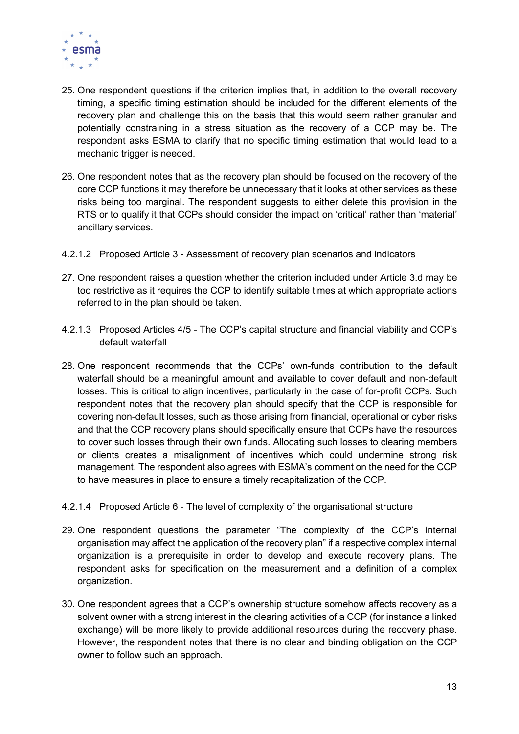

- 25. One respondent questions if the criterion implies that, in addition to the overall recovery timing, a specific timing estimation should be included for the different elements of the recovery plan and challenge this on the basis that this would seem rather granular and potentially constraining in a stress situation as the recovery of a CCP may be. The respondent asks ESMA to clarify that no specific timing estimation that would lead to a mechanic trigger is needed.
- 26. One respondent notes that as the recovery plan should be focused on the recovery of the core CCP functions it may therefore be unnecessary that it looks at other services as these risks being too marginal. The respondent suggests to either delete this provision in the RTS or to qualify it that CCPs should consider the impact on 'critical' rather than 'material' ancillary services.
- 4.2.1.2 Proposed Article 3 Assessment of recovery plan scenarios and indicators
- 27. One respondent raises a question whether the criterion included under Article 3.d may be too restrictive as it requires the CCP to identify suitable times at which appropriate actions referred to in the plan should be taken.
- 4.2.1.3 Proposed Articles 4/5 The CCP's capital structure and financial viability and CCP's default waterfall
- 28. One respondent recommends that the CCPs' own-funds contribution to the default waterfall should be a meaningful amount and available to cover default and non-default losses. This is critical to align incentives, particularly in the case of for-profit CCPs. Such respondent notes that the recovery plan should specify that the CCP is responsible for covering non-default losses, such as those arising from financial, operational or cyber risks and that the CCP recovery plans should specifically ensure that CCPs have the resources to cover such losses through their own funds. Allocating such losses to clearing members or clients creates a misalignment of incentives which could undermine strong risk management. The respondent also agrees with ESMA's comment on the need for the CCP to have measures in place to ensure a timely recapitalization of the CCP.
- 4.2.1.4 Proposed Article 6 The level of complexity of the organisational structure
- 29. One respondent questions the parameter "The complexity of the CCP's internal organisation may affect the application of the recovery plan" if a respective complex internal organization is a prerequisite in order to develop and execute recovery plans. The respondent asks for specification on the measurement and a definition of a complex organization.
- 30. One respondent agrees that a CCP's ownership structure somehow affects recovery as a solvent owner with a strong interest in the clearing activities of a CCP (for instance a linked exchange) will be more likely to provide additional resources during the recovery phase. However, the respondent notes that there is no clear and binding obligation on the CCP owner to follow such an approach.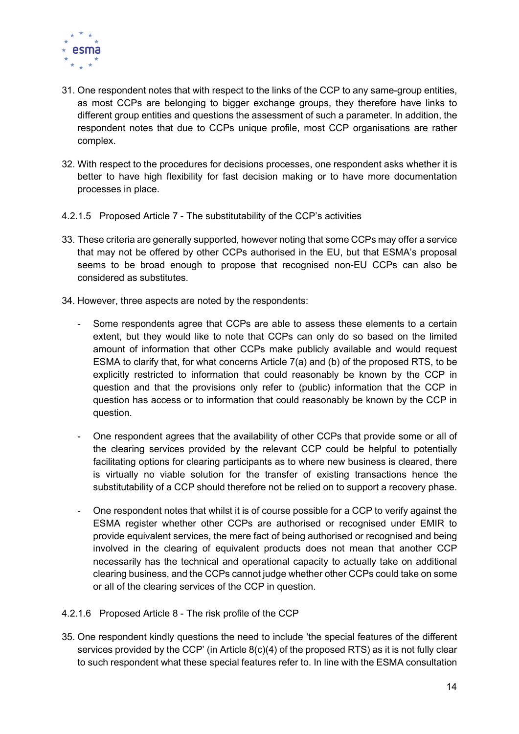

- 31. One respondent notes that with respect to the links of the CCP to any same-group entities, as most CCPs are belonging to bigger exchange groups, they therefore have links to different group entities and questions the assessment of such a parameter. In addition, the respondent notes that due to CCPs unique profile, most CCP organisations are rather complex.
- 32. With respect to the procedures for decisions processes, one respondent asks whether it is better to have high flexibility for fast decision making or to have more documentation processes in place.
- 4.2.1.5 Proposed Article 7 The substitutability of the CCP's activities
- 33. These criteria are generally supported, however noting that some CCPs may offer a service that may not be offered by other CCPs authorised in the EU, but that ESMA's proposal seems to be broad enough to propose that recognised non-EU CCPs can also be considered as substitutes.
- 34. However, three aspects are noted by the respondents:
	- Some respondents agree that CCPs are able to assess these elements to a certain extent, but they would like to note that CCPs can only do so based on the limited amount of information that other CCPs make publicly available and would request ESMA to clarify that, for what concerns Article 7(a) and (b) of the proposed RTS, to be explicitly restricted to information that could reasonably be known by the CCP in question and that the provisions only refer to (public) information that the CCP in question has access or to information that could reasonably be known by the CCP in question.
	- One respondent agrees that the availability of other CCPs that provide some or all of the clearing services provided by the relevant CCP could be helpful to potentially facilitating options for clearing participants as to where new business is cleared, there is virtually no viable solution for the transfer of existing transactions hence the substitutability of a CCP should therefore not be relied on to support a recovery phase.
	- One respondent notes that whilst it is of course possible for a CCP to verify against the ESMA register whether other CCPs are authorised or recognised under EMIR to provide equivalent services, the mere fact of being authorised or recognised and being involved in the clearing of equivalent products does not mean that another CCP necessarily has the technical and operational capacity to actually take on additional clearing business, and the CCPs cannot judge whether other CCPs could take on some or all of the clearing services of the CCP in question.
- 4.2.1.6 Proposed Article 8 The risk profile of the CCP
- 35. One respondent kindly questions the need to include 'the special features of the different services provided by the CCP' (in Article 8(c)(4) of the proposed RTS) as it is not fully clear to such respondent what these special features refer to. In line with the ESMA consultation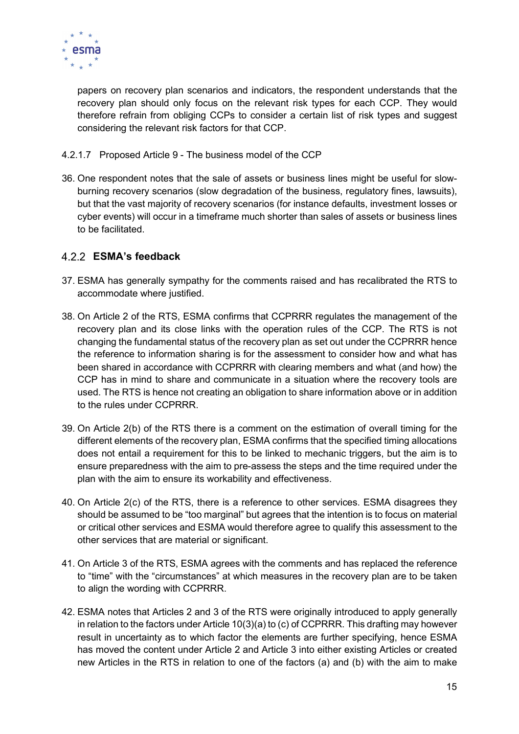

papers on recovery plan scenarios and indicators, the respondent understands that the recovery plan should only focus on the relevant risk types for each CCP. They would therefore refrain from obliging CCPs to consider a certain list of risk types and suggest considering the relevant risk factors for that CCP.

- 4.2.1.7 Proposed Article 9 The business model of the CCP
- 36. One respondent notes that the sale of assets or business lines might be useful for slowburning recovery scenarios (slow degradation of the business, regulatory fines, lawsuits), but that the vast majority of recovery scenarios (for instance defaults, investment losses or cyber events) will occur in a timeframe much shorter than sales of assets or business lines to be facilitated.

# ESMA's feedback

- 37. ESMA has generally sympathy for the comments raised and has recalibrated the RTS to accommodate where justified.
- 38. On Article 2 of the RTS, ESMA confirms that CCPRRR regulates the management of the recovery plan and its close links with the operation rules of the CCP. The RTS is not changing the fundamental status of the recovery plan as set out under the CCPRRR hence the reference to information sharing is for the assessment to consider how and what has been shared in accordance with CCPRRR with clearing members and what (and how) the CCP has in mind to share and communicate in a situation where the recovery tools are used. The RTS is hence not creating an obligation to share information above or in addition to the rules under CCPRRR.
- 39. On Article 2(b) of the RTS there is a comment on the estimation of overall timing for the different elements of the recovery plan, ESMA confirms that the specified timing allocations does not entail a requirement for this to be linked to mechanic triggers, but the aim is to ensure preparedness with the aim to pre-assess the steps and the time required under the plan with the aim to ensure its workability and effectiveness.
- 40. On Article 2(c) of the RTS, there is a reference to other services. ESMA disagrees they should be assumed to be "too marginal" but agrees that the intention is to focus on material or critical other services and ESMA would therefore agree to qualify this assessment to the other services that are material or significant.
- 41. On Article 3 of the RTS, ESMA agrees with the comments and has replaced the reference to "time" with the "circumstances" at which measures in the recovery plan are to be taken to align the wording with CCPRRR.
- 42. ESMA notes that Articles 2 and 3 of the RTS were originally introduced to apply generally in relation to the factors under Article 10(3)(a) to (c) of CCPRRR. This drafting may however result in uncertainty as to which factor the elements are further specifying, hence ESMA has moved the content under Article 2 and Article 3 into either existing Articles or created new Articles in the RTS in relation to one of the factors (a) and (b) with the aim to make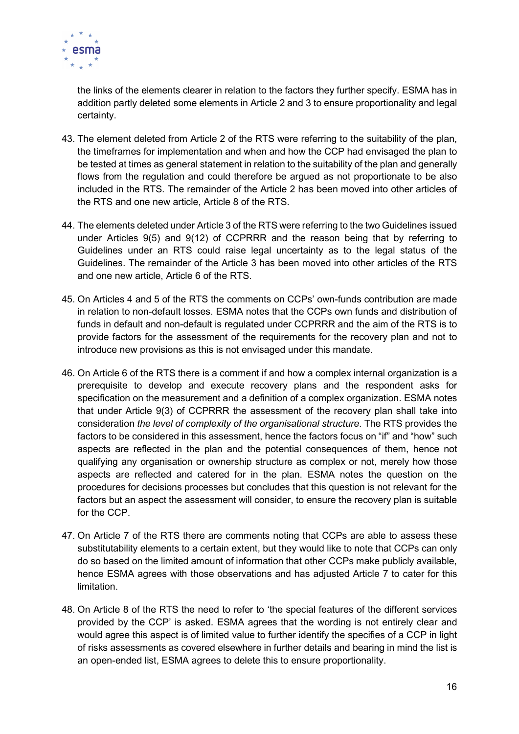

the links of the elements clearer in relation to the factors they further specify. ESMA has in addition partly deleted some elements in Article 2 and 3 to ensure proportionality and legal certainty.

- 43. The element deleted from Article 2 of the RTS were referring to the suitability of the plan, the timeframes for implementation and when and how the CCP had envisaged the plan to be tested at times as general statement in relation to the suitability of the plan and generally flows from the regulation and could therefore be argued as not proportionate to be also included in the RTS. The remainder of the Article 2 has been moved into other articles of the RTS and one new article, Article 8 of the RTS.
- 44. The elements deleted under Article 3 of the RTS were referring to the two Guidelines issued under Articles 9(5) and 9(12) of CCPRRR and the reason being that by referring to Guidelines under an RTS could raise legal uncertainty as to the legal status of the Guidelines. The remainder of the Article 3 has been moved into other articles of the RTS and one new article, Article 6 of the RTS.
- 45. On Articles 4 and 5 of the RTS the comments on CCPs' own-funds contribution are made in relation to non-default losses. ESMA notes that the CCPs own funds and distribution of funds in default and non-default is regulated under CCPRRR and the aim of the RTS is to provide factors for the assessment of the requirements for the recovery plan and not to introduce new provisions as this is not envisaged under this mandate.
- 46. On Article 6 of the RTS there is a comment if and how a complex internal organization is a prerequisite to develop and execute recovery plans and the respondent asks for specification on the measurement and a definition of a complex organization. ESMA notes that under Article 9(3) of CCPRRR the assessment of the recovery plan shall take into consideration the level of complexity of the organisational structure. The RTS provides the factors to be considered in this assessment, hence the factors focus on "if" and "how" such aspects are reflected in the plan and the potential consequences of them, hence not qualifying any organisation or ownership structure as complex or not, merely how those aspects are reflected and catered for in the plan. ESMA notes the question on the procedures for decisions processes but concludes that this question is not relevant for the factors but an aspect the assessment will consider, to ensure the recovery plan is suitable for the CCP.
- 47. On Article 7 of the RTS there are comments noting that CCPs are able to assess these substitutability elements to a certain extent, but they would like to note that CCPs can only do so based on the limited amount of information that other CCPs make publicly available, hence ESMA agrees with those observations and has adjusted Article 7 to cater for this limitation.
- 48. On Article 8 of the RTS the need to refer to 'the special features of the different services provided by the CCP' is asked. ESMA agrees that the wording is not entirely clear and would agree this aspect is of limited value to further identify the specifies of a CCP in light of risks assessments as covered elsewhere in further details and bearing in mind the list is an open-ended list, ESMA agrees to delete this to ensure proportionality.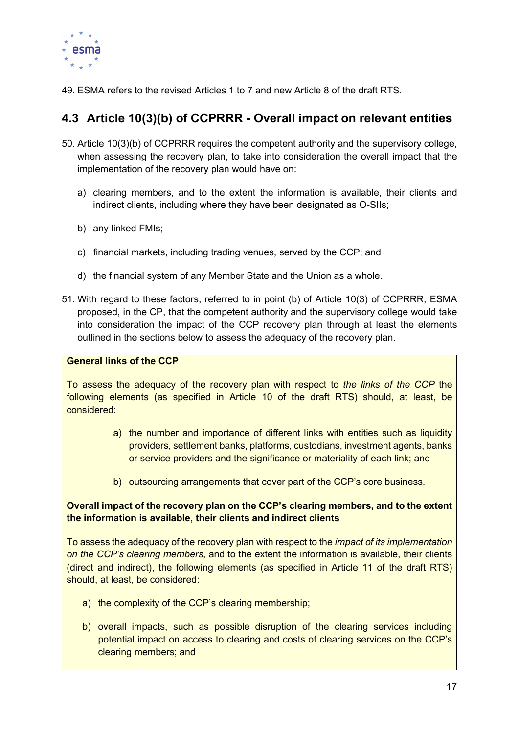

49. ESMA refers to the revised Articles 1 to 7 and new Article 8 of the draft RTS.

# 4.3 Article 10(3)(b) of CCPRRR - Overall impact on relevant entities

- 50. Article 10(3)(b) of CCPRRR requires the competent authority and the supervisory college, when assessing the recovery plan, to take into consideration the overall impact that the implementation of the recovery plan would have on:
	- a) clearing members, and to the extent the information is available, their clients and indirect clients, including where they have been designated as O-SIIs;
	- b) any linked FMIs;
	- c) financial markets, including trading venues, served by the CCP; and
	- d) the financial system of any Member State and the Union as a whole.
- 51. With regard to these factors, referred to in point (b) of Article 10(3) of CCPRRR, ESMA proposed, in the CP, that the competent authority and the supervisory college would take into consideration the impact of the CCP recovery plan through at least the elements outlined in the sections below to assess the adequacy of the recovery plan.

### General links of the CCP

To assess the adequacy of the recovery plan with respect to the links of the CCP the following elements (as specified in Article 10 of the draft RTS) should, at least, be considered:

- a) the number and importance of different links with entities such as liquidity providers, settlement banks, platforms, custodians, investment agents, banks or service providers and the significance or materiality of each link; and
- b) outsourcing arrangements that cover part of the CCP's core business.

# Overall impact of the recovery plan on the CCP's clearing members, and to the extent the information is available, their clients and indirect clients

To assess the adequacy of the recovery plan with respect to the *impact of its implementation* on the CCP's clearing members, and to the extent the information is available, their clients (direct and indirect), the following elements (as specified in Article 11 of the draft RTS) should, at least, be considered:

- a) the complexity of the CCP's clearing membership;
- b) overall impacts, such as possible disruption of the clearing services including potential impact on access to clearing and costs of clearing services on the CCP's clearing members; and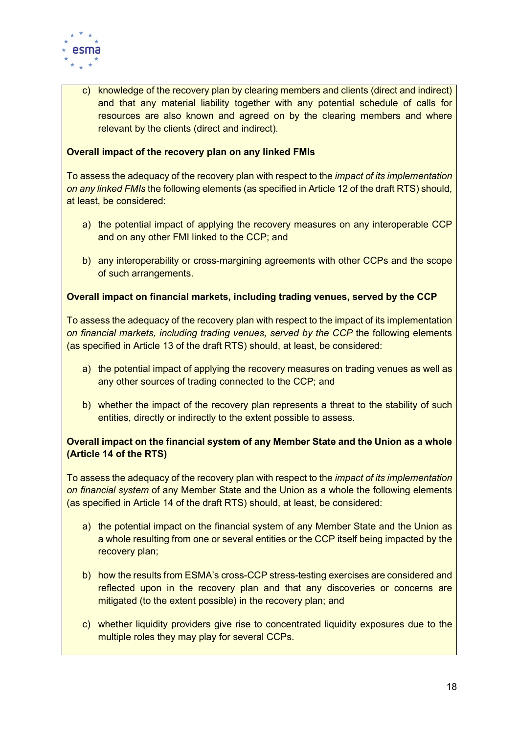

c) knowledge of the recovery plan by clearing members and clients (direct and indirect) and that any material liability together with any potential schedule of calls for resources are also known and agreed on by the clearing members and where relevant by the clients (direct and indirect).

### Overall impact of the recovery plan on any linked FMIs

To assess the adequacy of the recovery plan with respect to the *impact of its implementation* on any linked FMIs the following elements (as specified in Article 12 of the draft RTS) should, at least, be considered:

- a) the potential impact of applying the recovery measures on any interoperable CCP and on any other FMI linked to the CCP; and
- b) any interoperability or cross-margining agreements with other CCPs and the scope of such arrangements.

### Overall impact on financial markets, including trading venues, served by the CCP

To assess the adequacy of the recovery plan with respect to the impact of its implementation on financial markets, including trading venues, served by the CCP the following elements (as specified in Article 13 of the draft RTS) should, at least, be considered:

- a) the potential impact of applying the recovery measures on trading venues as well as any other sources of trading connected to the CCP; and
- b) whether the impact of the recovery plan represents a threat to the stability of such entities, directly or indirectly to the extent possible to assess.

# Overall impact on the financial system of any Member State and the Union as a whole (Article 14 of the RTS)

To assess the adequacy of the recovery plan with respect to the *impact of its implementation* on financial system of any Member State and the Union as a whole the following elements (as specified in Article 14 of the draft RTS) should, at least, be considered:

- a) the potential impact on the financial system of any Member State and the Union as a whole resulting from one or several entities or the CCP itself being impacted by the recovery plan;
- b) how the results from ESMA's cross-CCP stress-testing exercises are considered and reflected upon in the recovery plan and that any discoveries or concerns are mitigated (to the extent possible) in the recovery plan; and
- c) whether liquidity providers give rise to concentrated liquidity exposures due to the multiple roles they may play for several CCPs.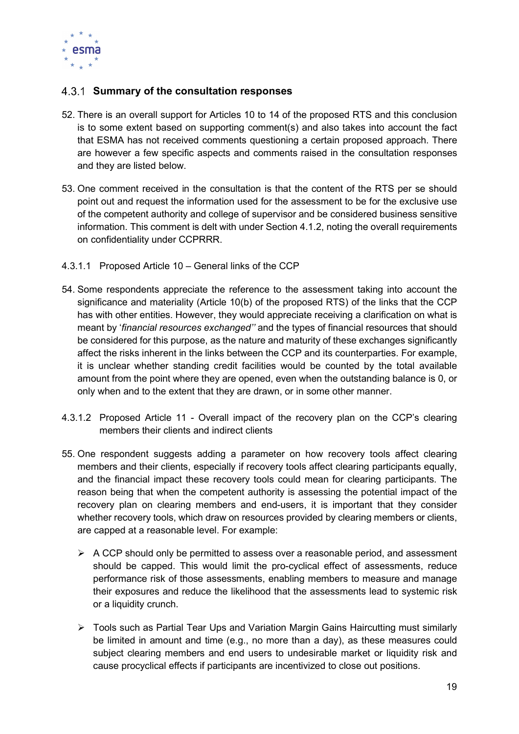

# 4.3.1 Summary of the consultation responses

- 52. There is an overall support for Articles 10 to 14 of the proposed RTS and this conclusion is to some extent based on supporting comment(s) and also takes into account the fact that ESMA has not received comments questioning a certain proposed approach. There are however a few specific aspects and comments raised in the consultation responses and they are listed below.
- 53. One comment received in the consultation is that the content of the RTS per se should point out and request the information used for the assessment to be for the exclusive use of the competent authority and college of supervisor and be considered business sensitive information. This comment is delt with under Section 4.1.2, noting the overall requirements on confidentiality under CCPRRR.
- 4.3.1.1 Proposed Article 10 General links of the CCP
- 54. Some respondents appreciate the reference to the assessment taking into account the significance and materiality (Article 10(b) of the proposed RTS) of the links that the CCP has with other entities. However, they would appreciate receiving a clarification on what is meant by 'financial resources exchanged'' and the types of financial resources that should be considered for this purpose, as the nature and maturity of these exchanges significantly affect the risks inherent in the links between the CCP and its counterparties. For example, it is unclear whether standing credit facilities would be counted by the total available amount from the point where they are opened, even when the outstanding balance is 0, or only when and to the extent that they are drawn, or in some other manner.
- 4.3.1.2 Proposed Article 11 Overall impact of the recovery plan on the CCP's clearing members their clients and indirect clients
- 55. One respondent suggests adding a parameter on how recovery tools affect clearing members and their clients, especially if recovery tools affect clearing participants equally, and the financial impact these recovery tools could mean for clearing participants. The reason being that when the competent authority is assessing the potential impact of the recovery plan on clearing members and end-users, it is important that they consider whether recovery tools, which draw on resources provided by clearing members or clients, are capped at a reasonable level. For example:
	- $\triangleright$  A CCP should only be permitted to assess over a reasonable period, and assessment should be capped. This would limit the pro-cyclical effect of assessments, reduce performance risk of those assessments, enabling members to measure and manage their exposures and reduce the likelihood that the assessments lead to systemic risk or a liquidity crunch.
	- Tools such as Partial Tear Ups and Variation Margin Gains Haircutting must similarly be limited in amount and time (e.g., no more than a day), as these measures could subject clearing members and end users to undesirable market or liquidity risk and cause procyclical effects if participants are incentivized to close out positions.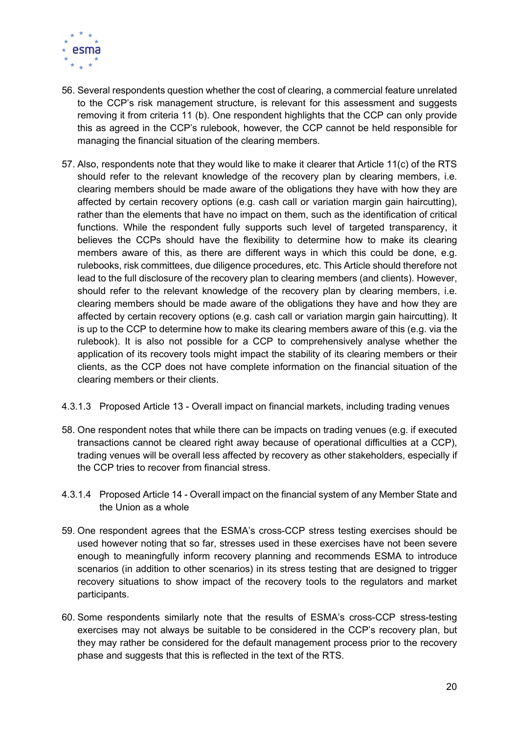

- 56. Several respondents question whether the cost of clearing, a commercial feature unrelated to the CCP's risk management structure, is relevant for this assessment and suggests removing it from criteria 11 (b). One respondent highlights that the CCP can only provide this as agreed in the CCP's rulebook, however, the CCP cannot be held responsible for managing the financial situation of the clearing members.
- 57. Also, respondents note that they would like to make it clearer that Article 11(c) of the RTS should refer to the relevant knowledge of the recovery plan by clearing members, i.e. clearing members should be made aware of the obligations they have with how they are affected by certain recovery options (e.g. cash call or variation margin gain haircutting), rather than the elements that have no impact on them, such as the identification of critical functions. While the respondent fully supports such level of targeted transparency, it believes the CCPs should have the flexibility to determine how to make its clearing members aware of this, as there are different ways in which this could be done, e.g. rulebooks, risk committees, due diligence procedures, etc. This Article should therefore not lead to the full disclosure of the recovery plan to clearing members (and clients). However, should refer to the relevant knowledge of the recovery plan by clearing members, i.e. clearing members should be made aware of the obligations they have and how they are affected by certain recovery options (e.g. cash call or variation margin gain haircutting). It is up to the CCP to determine how to make its clearing members aware of this (e.g. via the rulebook). It is also not possible for a CCP to comprehensively analyse whether the application of its recovery tools might impact the stability of its clearing members or their clients, as the CCP does not have complete information on the financial situation of the clearing members or their clients.
- 4.3.1.3 Proposed Article 13 Overall impact on financial markets, including trading venues
- 58. One respondent notes that while there can be impacts on trading venues (e.g. if executed transactions cannot be cleared right away because of operational difficulties at a CCP), trading venues will be overall less affected by recovery as other stakeholders, especially if the CCP tries to recover from financial stress.
- 4.3.1.4 Proposed Article 14 Overall impact on the financial system of any Member State and the Union as a whole
- 59. One respondent agrees that the ESMA's cross-CCP stress testing exercises should be used however noting that so far, stresses used in these exercises have not been severe enough to meaningfully inform recovery planning and recommends ESMA to introduce scenarios (in addition to other scenarios) in its stress testing that are designed to trigger recovery situations to show impact of the recovery tools to the regulators and market participants.
- 60. Some respondents similarly note that the results of ESMA's cross-CCP stress-testing exercises may not always be suitable to be considered in the CCP's recovery plan, but they may rather be considered for the default management process prior to the recovery phase and suggests that this is reflected in the text of the RTS.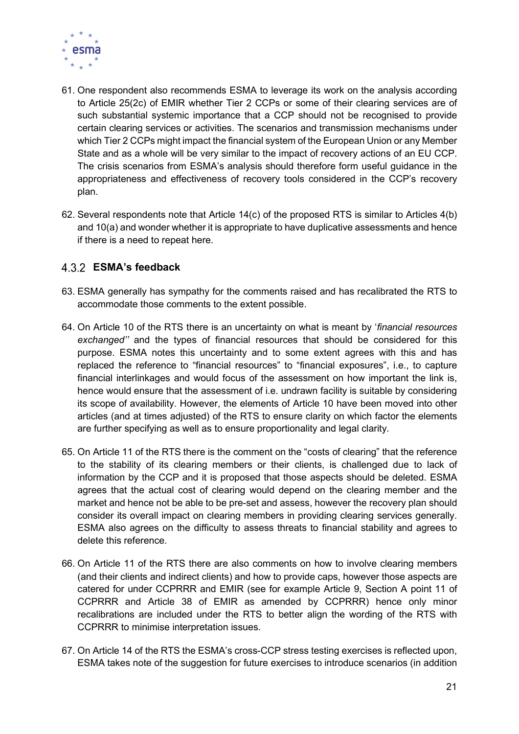

- 61. One respondent also recommends ESMA to leverage its work on the analysis according to Article 25(2c) of EMIR whether Tier 2 CCPs or some of their clearing services are of such substantial systemic importance that a CCP should not be recognised to provide certain clearing services or activities. The scenarios and transmission mechanisms under which Tier 2 CCPs might impact the financial system of the European Union or any Member State and as a whole will be very similar to the impact of recovery actions of an EU CCP. The crisis scenarios from ESMA's analysis should therefore form useful guidance in the appropriateness and effectiveness of recovery tools considered in the CCP's recovery plan.
- 62. Several respondents note that Article 14(c) of the proposed RTS is similar to Articles 4(b) and 10(a) and wonder whether it is appropriate to have duplicative assessments and hence if there is a need to repeat here.

# ESMA's feedback

- 63. ESMA generally has sympathy for the comments raised and has recalibrated the RTS to accommodate those comments to the extent possible.
- 64. On Article 10 of the RTS there is an uncertainty on what is meant by 'financial resources exchanged'' and the types of financial resources that should be considered for this purpose. ESMA notes this uncertainty and to some extent agrees with this and has replaced the reference to "financial resources" to "financial exposures", i.e., to capture financial interlinkages and would focus of the assessment on how important the link is, hence would ensure that the assessment of i.e. undrawn facility is suitable by considering its scope of availability. However, the elements of Article 10 have been moved into other articles (and at times adjusted) of the RTS to ensure clarity on which factor the elements are further specifying as well as to ensure proportionality and legal clarity.
- 65. On Article 11 of the RTS there is the comment on the "costs of clearing" that the reference to the stability of its clearing members or their clients, is challenged due to lack of information by the CCP and it is proposed that those aspects should be deleted. ESMA agrees that the actual cost of clearing would depend on the clearing member and the market and hence not be able to be pre-set and assess, however the recovery plan should consider its overall impact on clearing members in providing clearing services generally. ESMA also agrees on the difficulty to assess threats to financial stability and agrees to delete this reference.
- 66. On Article 11 of the RTS there are also comments on how to involve clearing members (and their clients and indirect clients) and how to provide caps, however those aspects are catered for under CCPRRR and EMIR (see for example Article 9, Section A point 11 of CCPRRR and Article 38 of EMIR as amended by CCPRRR) hence only minor recalibrations are included under the RTS to better align the wording of the RTS with CCPRRR to minimise interpretation issues.
- 67. On Article 14 of the RTS the ESMA's cross-CCP stress testing exercises is reflected upon, ESMA takes note of the suggestion for future exercises to introduce scenarios (in addition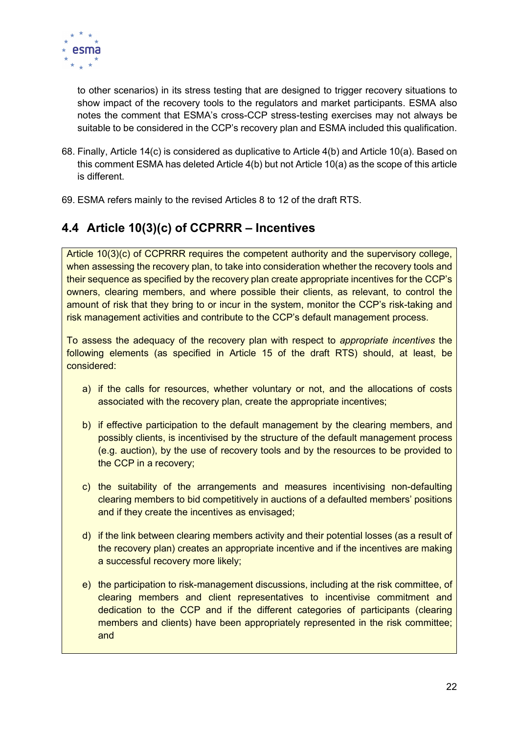

to other scenarios) in its stress testing that are designed to trigger recovery situations to show impact of the recovery tools to the regulators and market participants. ESMA also notes the comment that ESMA's cross-CCP stress-testing exercises may not always be suitable to be considered in the CCP's recovery plan and ESMA included this qualification.

- 68. Finally, Article 14(c) is considered as duplicative to Article 4(b) and Article 10(a). Based on this comment ESMA has deleted Article 4(b) but not Article 10(a) as the scope of this article is different.
- 69. ESMA refers mainly to the revised Articles 8 to 12 of the draft RTS.

# 4.4 Article 10(3)(c) of CCPRRR – Incentives

Article 10(3)(c) of CCPRRR requires the competent authority and the supervisory college, when assessing the recovery plan, to take into consideration whether the recovery tools and their sequence as specified by the recovery plan create appropriate incentives for the CCP's owners, clearing members, and where possible their clients, as relevant, to control the amount of risk that they bring to or incur in the system, monitor the CCP's risk-taking and risk management activities and contribute to the CCP's default management process.

To assess the adequacy of the recovery plan with respect to appropriate incentives the following elements (as specified in Article 15 of the draft RTS) should, at least, be considered:

- a) if the calls for resources, whether voluntary or not, and the allocations of costs associated with the recovery plan, create the appropriate incentives;
- b) if effective participation to the default management by the clearing members, and possibly clients, is incentivised by the structure of the default management process (e.g. auction), by the use of recovery tools and by the resources to be provided to the CCP in a recovery;
- c) the suitability of the arrangements and measures incentivising non-defaulting clearing members to bid competitively in auctions of a defaulted members' positions and if they create the incentives as envisaged;
- d) if the link between clearing members activity and their potential losses (as a result of the recovery plan) creates an appropriate incentive and if the incentives are making a successful recovery more likely;
- e) the participation to risk-management discussions, including at the risk committee, of clearing members and client representatives to incentivise commitment and dedication to the CCP and if the different categories of participants (clearing members and clients) have been appropriately represented in the risk committee; and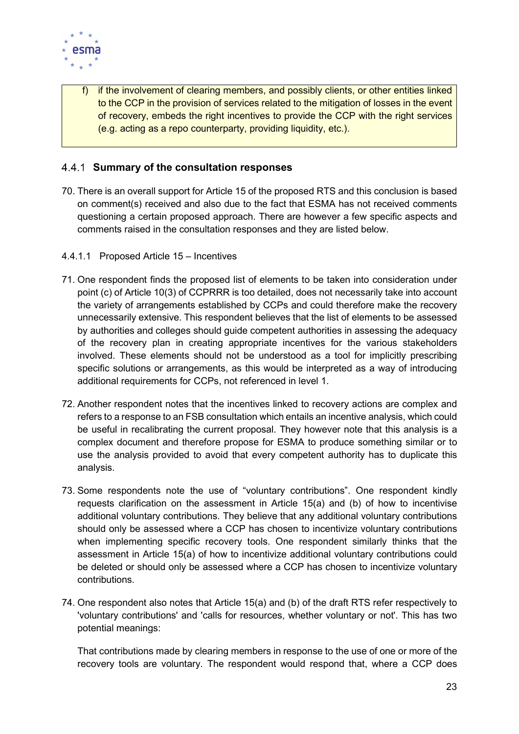

f) if the involvement of clearing members, and possibly clients, or other entities linked to the CCP in the provision of services related to the mitigation of losses in the event of recovery, embeds the right incentives to provide the CCP with the right services (e.g. acting as a repo counterparty, providing liquidity, etc.).

# 4.4.1 Summary of the consultation responses

- 70. There is an overall support for Article 15 of the proposed RTS and this conclusion is based on comment(s) received and also due to the fact that ESMA has not received comments questioning a certain proposed approach. There are however a few specific aspects and comments raised in the consultation responses and they are listed below.
- 4.4.1.1 Proposed Article 15 Incentives
- 71. One respondent finds the proposed list of elements to be taken into consideration under point (c) of Article 10(3) of CCPRRR is too detailed, does not necessarily take into account the variety of arrangements established by CCPs and could therefore make the recovery unnecessarily extensive. This respondent believes that the list of elements to be assessed by authorities and colleges should guide competent authorities in assessing the adequacy of the recovery plan in creating appropriate incentives for the various stakeholders involved. These elements should not be understood as a tool for implicitly prescribing specific solutions or arrangements, as this would be interpreted as a way of introducing additional requirements for CCPs, not referenced in level 1.
- 72. Another respondent notes that the incentives linked to recovery actions are complex and refers to a response to an FSB consultation which entails an incentive analysis, which could be useful in recalibrating the current proposal. They however note that this analysis is a complex document and therefore propose for ESMA to produce something similar or to use the analysis provided to avoid that every competent authority has to duplicate this analysis.
- 73. Some respondents note the use of "voluntary contributions". One respondent kindly requests clarification on the assessment in Article 15(a) and (b) of how to incentivise additional voluntary contributions. They believe that any additional voluntary contributions should only be assessed where a CCP has chosen to incentivize voluntary contributions when implementing specific recovery tools. One respondent similarly thinks that the assessment in Article 15(a) of how to incentivize additional voluntary contributions could be deleted or should only be assessed where a CCP has chosen to incentivize voluntary contributions.
- 74. One respondent also notes that Article 15(a) and (b) of the draft RTS refer respectively to 'voluntary contributions' and 'calls for resources, whether voluntary or not'. This has two potential meanings:

That contributions made by clearing members in response to the use of one or more of the recovery tools are voluntary. The respondent would respond that, where a CCP does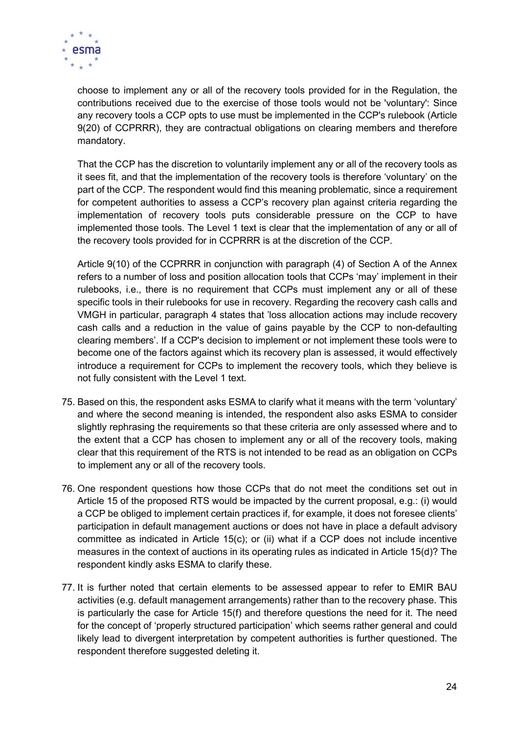

choose to implement any or all of the recovery tools provided for in the Regulation, the contributions received due to the exercise of those tools would not be 'voluntary': Since any recovery tools a CCP opts to use must be implemented in the CCP's rulebook (Article 9(20) of CCPRRR), they are contractual obligations on clearing members and therefore mandatory.

That the CCP has the discretion to voluntarily implement any or all of the recovery tools as it sees fit, and that the implementation of the recovery tools is therefore 'voluntary' on the part of the CCP. The respondent would find this meaning problematic, since a requirement for competent authorities to assess a CCP's recovery plan against criteria regarding the implementation of recovery tools puts considerable pressure on the CCP to have implemented those tools. The Level 1 text is clear that the implementation of any or all of the recovery tools provided for in CCPRRR is at the discretion of the CCP.

Article 9(10) of the CCPRRR in conjunction with paragraph (4) of Section A of the Annex refers to a number of loss and position allocation tools that CCPs 'may' implement in their rulebooks, i.e., there is no requirement that CCPs must implement any or all of these specific tools in their rulebooks for use in recovery. Regarding the recovery cash calls and VMGH in particular, paragraph 4 states that 'loss allocation actions may include recovery cash calls and a reduction in the value of gains payable by the CCP to non-defaulting clearing members'. If a CCP's decision to implement or not implement these tools were to become one of the factors against which its recovery plan is assessed, it would effectively introduce a requirement for CCPs to implement the recovery tools, which they believe is not fully consistent with the Level 1 text.

- 75. Based on this, the respondent asks ESMA to clarify what it means with the term 'voluntary' and where the second meaning is intended, the respondent also asks ESMA to consider slightly rephrasing the requirements so that these criteria are only assessed where and to the extent that a CCP has chosen to implement any or all of the recovery tools, making clear that this requirement of the RTS is not intended to be read as an obligation on CCPs to implement any or all of the recovery tools.
- 76. One respondent questions how those CCPs that do not meet the conditions set out in Article 15 of the proposed RTS would be impacted by the current proposal, e.g.: (i) would a CCP be obliged to implement certain practices if, for example, it does not foresee clients' participation in default management auctions or does not have in place a default advisory committee as indicated in Article 15(c); or (ii) what if a CCP does not include incentive measures in the context of auctions in its operating rules as indicated in Article 15(d)? The respondent kindly asks ESMA to clarify these.
- 77. It is further noted that certain elements to be assessed appear to refer to EMIR BAU activities (e.g. default management arrangements) rather than to the recovery phase. This is particularly the case for Article 15(f) and therefore questions the need for it. The need for the concept of 'properly structured participation' which seems rather general and could likely lead to divergent interpretation by competent authorities is further questioned. The respondent therefore suggested deleting it.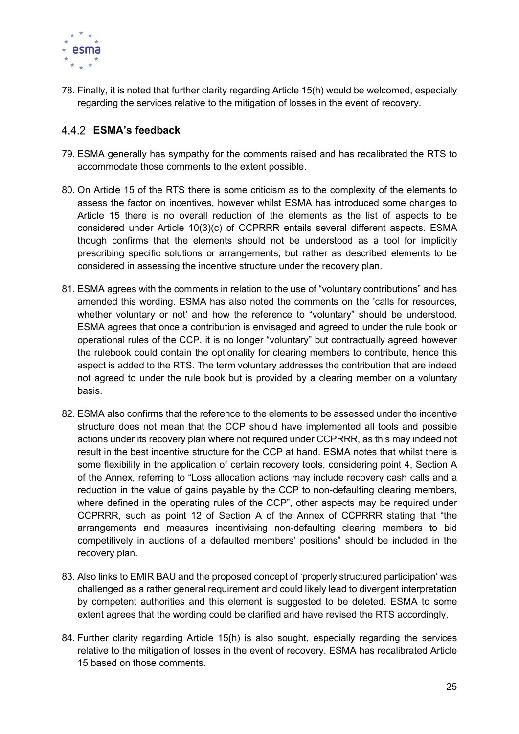

78. Finally, it is noted that further clarity regarding Article 15(h) would be welcomed, especially regarding the services relative to the mitigation of losses in the event of recovery.

# ESMA's feedback

- 79. ESMA generally has sympathy for the comments raised and has recalibrated the RTS to accommodate those comments to the extent possible.
- 80. On Article 15 of the RTS there is some criticism as to the complexity of the elements to assess the factor on incentives, however whilst ESMA has introduced some changes to Article 15 there is no overall reduction of the elements as the list of aspects to be considered under Article 10(3)(c) of CCPRRR entails several different aspects. ESMA though confirms that the elements should not be understood as a tool for implicitly prescribing specific solutions or arrangements, but rather as described elements to be considered in assessing the incentive structure under the recovery plan.
- 81. ESMA agrees with the comments in relation to the use of "voluntary contributions" and has amended this wording. ESMA has also noted the comments on the 'calls for resources, whether voluntary or not' and how the reference to "voluntary" should be understood. ESMA agrees that once a contribution is envisaged and agreed to under the rule book or operational rules of the CCP, it is no longer "voluntary" but contractually agreed however the rulebook could contain the optionality for clearing members to contribute, hence this aspect is added to the RTS. The term voluntary addresses the contribution that are indeed not agreed to under the rule book but is provided by a clearing member on a voluntary basis.
- 82. ESMA also confirms that the reference to the elements to be assessed under the incentive structure does not mean that the CCP should have implemented all tools and possible actions under its recovery plan where not required under CCPRRR, as this may indeed not result in the best incentive structure for the CCP at hand. ESMA notes that whilst there is some flexibility in the application of certain recovery tools, considering point 4, Section A of the Annex, referring to "Loss allocation actions may include recovery cash calls and a reduction in the value of gains payable by the CCP to non-defaulting clearing members, where defined in the operating rules of the CCP", other aspects may be required under CCPRRR, such as point 12 of Section A of the Annex of CCPRRR stating that "the arrangements and measures incentivising non-defaulting clearing members to bid competitively in auctions of a defaulted members' positions" should be included in the recovery plan.
- 83. Also links to EMIR BAU and the proposed concept of 'properly structured participation' was challenged as a rather general requirement and could likely lead to divergent interpretation by competent authorities and this element is suggested to be deleted. ESMA to some extent agrees that the wording could be clarified and have revised the RTS accordingly.
- 84. Further clarity regarding Article 15(h) is also sought, especially regarding the services relative to the mitigation of losses in the event of recovery. ESMA has recalibrated Article 15 based on those comments.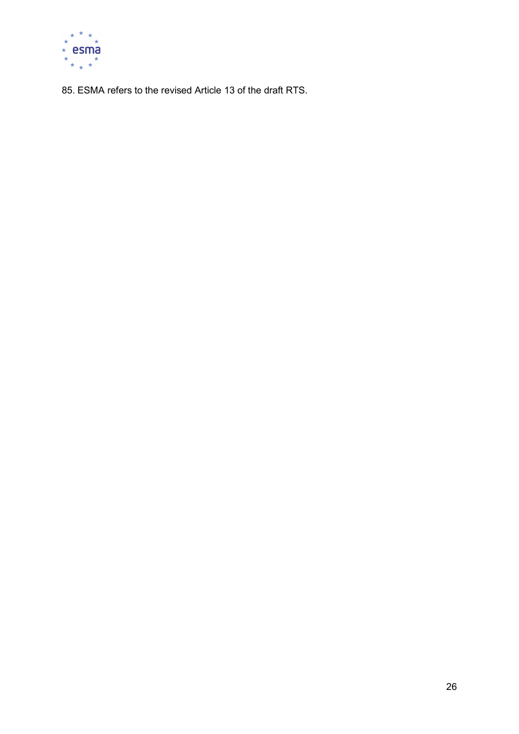

85. ESMA refers to the revised Article 13 of the draft RTS.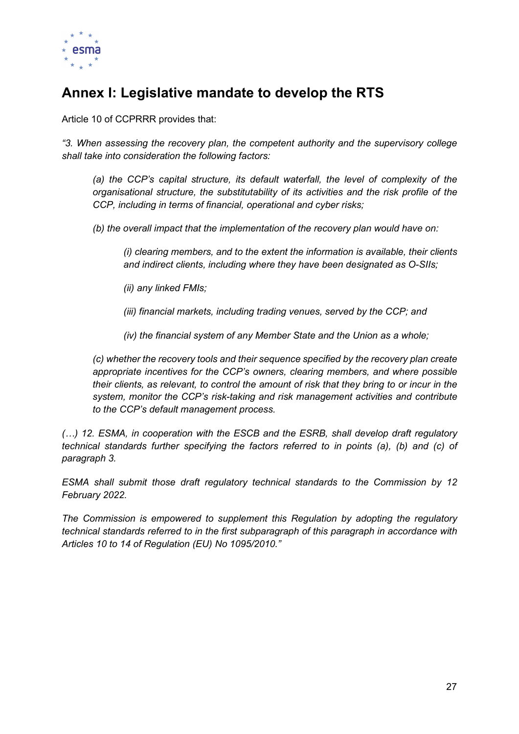

# Annex I: Legislative mandate to develop the RTS

Article 10 of CCPRRR provides that:

"3. When assessing the recovery plan, the competent authority and the supervisory college shall take into consideration the following factors:

(a) the CCP's capital structure, its default waterfall, the level of complexity of the organisational structure, the substitutability of its activities and the risk profile of the CCP, including in terms of financial, operational and cyber risks;

(b) the overall impact that the implementation of the recovery plan would have on:

(i) clearing members, and to the extent the information is available, their clients and indirect clients, including where they have been designated as O-SIIs;

(ii) any linked FMIs;

(iii) financial markets, including trading venues, served by the CCP; and

(iv) the financial system of any Member State and the Union as a whole;

(c) whether the recovery tools and their sequence specified by the recovery plan create appropriate incentives for the CCP's owners, clearing members, and where possible their clients, as relevant, to control the amount of risk that they bring to or incur in the system, monitor the CCP's risk-taking and risk management activities and contribute to the CCP's default management process.

(…) 12. ESMA, in cooperation with the ESCB and the ESRB, shall develop draft regulatory technical standards further specifying the factors referred to in points (a), (b) and (c) of paragraph 3.

ESMA shall submit those draft regulatory technical standards to the Commission by 12 February 2022.

The Commission is empowered to supplement this Regulation by adopting the regulatory technical standards referred to in the first subparagraph of this paragraph in accordance with Articles 10 to 14 of Regulation (EU) No 1095/2010."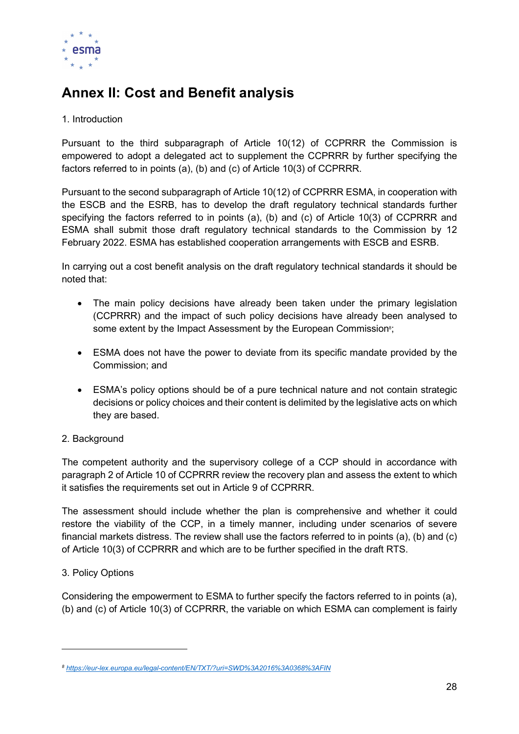

# Annex II: Cost and Benefit analysis

# 1. Introduction

Pursuant to the third subparagraph of Article 10(12) of CCPRRR the Commission is empowered to adopt a delegated act to supplement the CCPRRR by further specifying the factors referred to in points (a), (b) and (c) of Article 10(3) of CCPRRR.

Pursuant to the second subparagraph of Article 10(12) of CCPRRR ESMA, in cooperation with the ESCB and the ESRB, has to develop the draft regulatory technical standards further specifying the factors referred to in points (a), (b) and (c) of Article 10(3) of CCPRRR and ESMA shall submit those draft regulatory technical standards to the Commission by 12 February 2022. ESMA has established cooperation arrangements with ESCB and ESRB.

In carrying out a cost benefit analysis on the draft regulatory technical standards it should be noted that:

- The main policy decisions have already been taken under the primary legislation (CCPRRR) and the impact of such policy decisions have already been analysed to some extent by the Impact Assessment by the European Commission<sup>8</sup>;
- ESMA does not have the power to deviate from its specific mandate provided by the Commission; and
- ESMA's policy options should be of a pure technical nature and not contain strategic decisions or policy choices and their content is delimited by the legislative acts on which they are based.

# 2. Background

The competent authority and the supervisory college of a CCP should in accordance with paragraph 2 of Article 10 of CCPRRR review the recovery plan and assess the extent to which it satisfies the requirements set out in Article 9 of CCPRRR.

The assessment should include whether the plan is comprehensive and whether it could restore the viability of the CCP, in a timely manner, including under scenarios of severe financial markets distress. The review shall use the factors referred to in points (a), (b) and (c) of Article 10(3) of CCPRRR and which are to be further specified in the draft RTS.

# 3. Policy Options

Considering the empowerment to ESMA to further specify the factors referred to in points (a), (b) and (c) of Article 10(3) of CCPRRR, the variable on which ESMA can complement is fairly

<sup>8</sup> https://eur-lex.europa.eu/legal-content/EN/TXT/?uri=SWD%3A2016%3A0368%3AFIN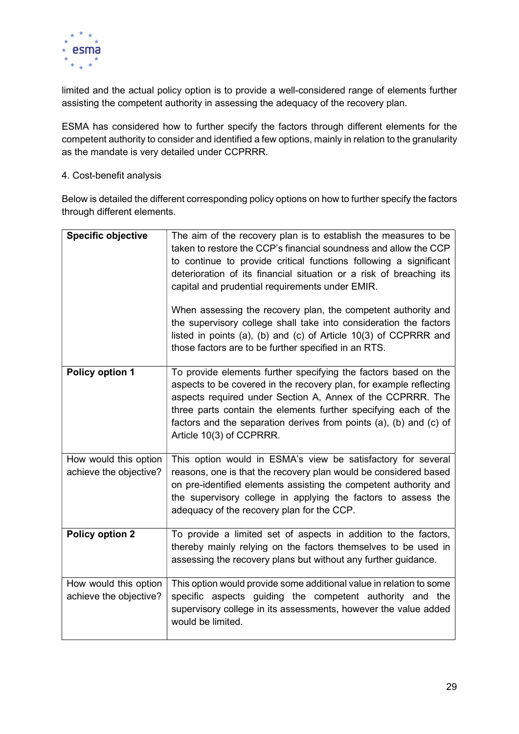

limited and the actual policy option is to provide a well-considered range of elements further assisting the competent authority in assessing the adequacy of the recovery plan.

ESMA has considered how to further specify the factors through different elements for the competent authority to consider and identified a few options, mainly in relation to the granularity as the mandate is very detailed under CCPRRR.

### 4. Cost-benefit analysis

Below is detailed the different corresponding policy options on how to further specify the factors through different elements.

| <b>Specific objective</b>                       | The aim of the recovery plan is to establish the measures to be<br>taken to restore the CCP's financial soundness and allow the CCP<br>to continue to provide critical functions following a significant<br>deterioration of its financial situation or a risk of breaching its<br>capital and prudential requirements under EMIR.<br>When assessing the recovery plan, the competent authority and<br>the supervisory college shall take into consideration the factors<br>listed in points (a), (b) and (c) of Article 10(3) of CCPRRR and<br>those factors are to be further specified in an RTS. |
|-------------------------------------------------|------------------------------------------------------------------------------------------------------------------------------------------------------------------------------------------------------------------------------------------------------------------------------------------------------------------------------------------------------------------------------------------------------------------------------------------------------------------------------------------------------------------------------------------------------------------------------------------------------|
| Policy option 1                                 | To provide elements further specifying the factors based on the<br>aspects to be covered in the recovery plan, for example reflecting<br>aspects required under Section A, Annex of the CCPRRR. The<br>three parts contain the elements further specifying each of the<br>factors and the separation derives from points (a), (b) and (c) of<br>Article 10(3) of CCPRRR.                                                                                                                                                                                                                             |
| How would this option<br>achieve the objective? | This option would in ESMA's view be satisfactory for several<br>reasons, one is that the recovery plan would be considered based<br>on pre-identified elements assisting the competent authority and<br>the supervisory college in applying the factors to assess the<br>adequacy of the recovery plan for the CCP.                                                                                                                                                                                                                                                                                  |
| <b>Policy option 2</b>                          | To provide a limited set of aspects in addition to the factors,<br>thereby mainly relying on the factors themselves to be used in<br>assessing the recovery plans but without any further guidance.                                                                                                                                                                                                                                                                                                                                                                                                  |
| How would this option<br>achieve the objective? | This option would provide some additional value in relation to some<br>specific aspects guiding the competent authority and the<br>supervisory college in its assessments, however the value added<br>would be limited.                                                                                                                                                                                                                                                                                                                                                                              |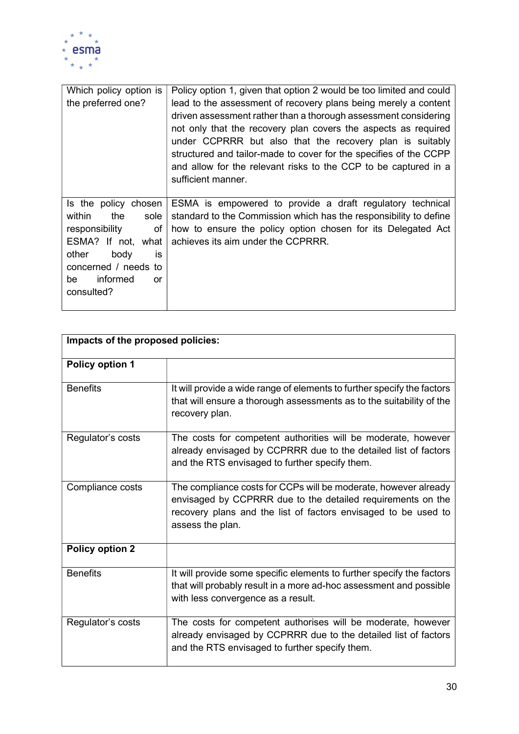

| Which policy option is<br>the preferred one?                                                                                                                                     | Policy option 1, given that option 2 would be too limited and could<br>lead to the assessment of recovery plans being merely a content<br>driven assessment rather than a thorough assessment considering<br>not only that the recovery plan covers the aspects as required<br>under CCPRRR but also that the recovery plan is suitably<br>structured and tailor-made to cover for the specifies of the CCPP<br>and allow for the relevant risks to the CCP to be captured in a<br>sufficient manner. |
|----------------------------------------------------------------------------------------------------------------------------------------------------------------------------------|-------------------------------------------------------------------------------------------------------------------------------------------------------------------------------------------------------------------------------------------------------------------------------------------------------------------------------------------------------------------------------------------------------------------------------------------------------------------------------------------------------|
| Is the policy chosen<br>within<br>the<br>sole<br>responsibility<br>оf<br>ESMA? If not, what<br>other<br>body<br>İS<br>concerned / needs to<br>informed<br>be<br>or<br>consulted? | ESMA is empowered to provide a draft regulatory technical<br>standard to the Commission which has the responsibility to define<br>how to ensure the policy option chosen for its Delegated Act<br>achieves its aim under the CCPRRR.                                                                                                                                                                                                                                                                  |

| Impacts of the proposed policies: |                                                                                                                                                                                                                      |  |  |  |
|-----------------------------------|----------------------------------------------------------------------------------------------------------------------------------------------------------------------------------------------------------------------|--|--|--|
| <b>Policy option 1</b>            |                                                                                                                                                                                                                      |  |  |  |
| <b>Benefits</b>                   | It will provide a wide range of elements to further specify the factors<br>that will ensure a thorough assessments as to the suitability of the<br>recovery plan.                                                    |  |  |  |
| Regulator's costs                 | The costs for competent authorities will be moderate, however<br>already envisaged by CCPRRR due to the detailed list of factors<br>and the RTS envisaged to further specify them.                                   |  |  |  |
| Compliance costs                  | The compliance costs for CCPs will be moderate, however already<br>envisaged by CCPRRR due to the detailed requirements on the<br>recovery plans and the list of factors envisaged to be used to<br>assess the plan. |  |  |  |
| <b>Policy option 2</b>            |                                                                                                                                                                                                                      |  |  |  |
| <b>Benefits</b>                   | It will provide some specific elements to further specify the factors<br>that will probably result in a more ad-hoc assessment and possible<br>with less convergence as a result.                                    |  |  |  |
| Regulator's costs                 | The costs for competent authorises will be moderate, however<br>already envisaged by CCPRRR due to the detailed list of factors<br>and the RTS envisaged to further specify them.                                    |  |  |  |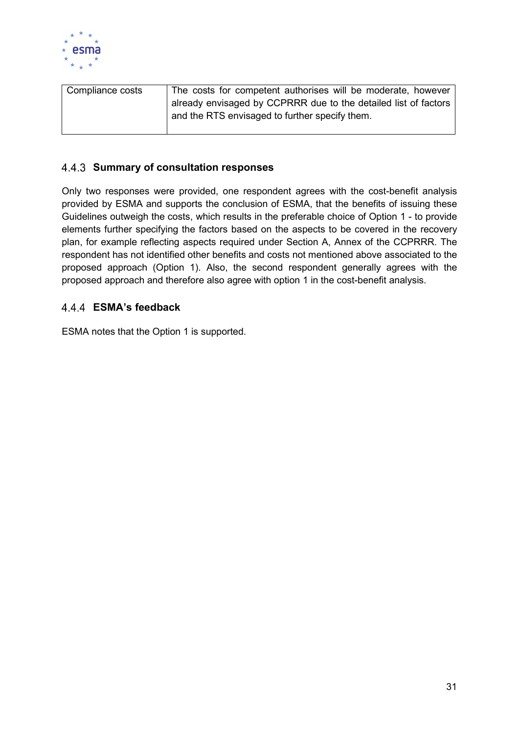

| Compliance costs | The costs for competent authorises will be moderate, however    |
|------------------|-----------------------------------------------------------------|
|                  | already envisaged by CCPRRR due to the detailed list of factors |
|                  | and the RTS envisaged to further specify them.                  |
|                  |                                                                 |

# 4.4.3 Summary of consultation responses

Only two responses were provided, one respondent agrees with the cost-benefit analysis provided by ESMA and supports the conclusion of ESMA, that the benefits of issuing these Guidelines outweigh the costs, which results in the preferable choice of Option 1 - to provide elements further specifying the factors based on the aspects to be covered in the recovery plan, for example reflecting aspects required under Section A, Annex of the CCPRRR. The respondent has not identified other benefits and costs not mentioned above associated to the proposed approach (Option 1). Also, the second respondent generally agrees with the proposed approach and therefore also agree with option 1 in the cost-benefit analysis.

# ESMA's feedback

ESMA notes that the Option 1 is supported.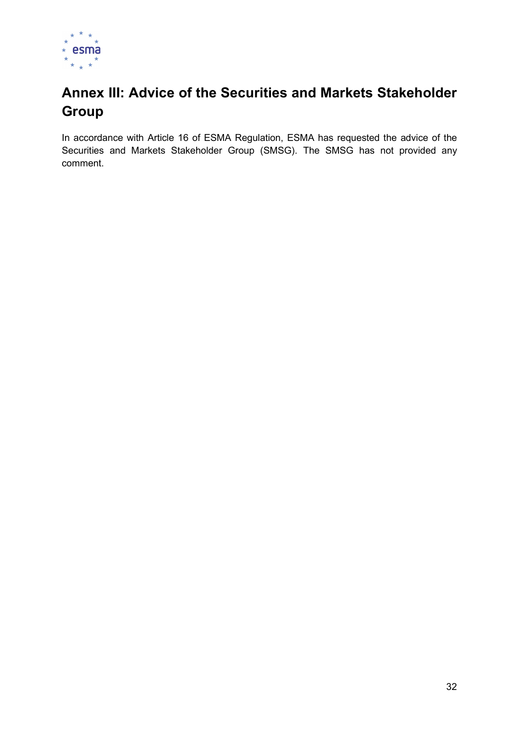

# Annex III: Advice of the Securities and Markets Stakeholder **Group**

In accordance with Article 16 of ESMA Regulation, ESMA has requested the advice of the Securities and Markets Stakeholder Group (SMSG). The SMSG has not provided any comment.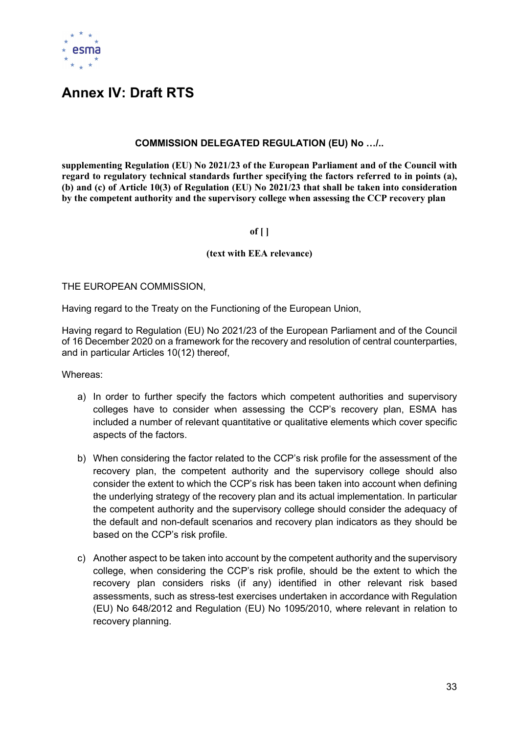

# Annex IV: Draft RTS

### COMMISSION DELEGATED REGULATION (EU) No …/..

supplementing Regulation (EU) No 2021/23 of the European Parliament and of the Council with regard to regulatory technical standards further specifying the factors referred to in points (a), (b) and (c) of Article 10(3) of Regulation (EU) No 2021/23 that shall be taken into consideration by the competent authority and the supervisory college when assessing the CCP recovery plan

#### of  $[ ]$

#### (text with EEA relevance)

THE EUROPEAN COMMISSION,

Having regard to the Treaty on the Functioning of the European Union,

Having regard to Regulation (EU) No 2021/23 of the European Parliament and of the Council of 16 December 2020 on a framework for the recovery and resolution of central counterparties, and in particular Articles 10(12) thereof,

Whereas:

- a) In order to further specify the factors which competent authorities and supervisory colleges have to consider when assessing the CCP's recovery plan, ESMA has included a number of relevant quantitative or qualitative elements which cover specific aspects of the factors.
- b) When considering the factor related to the CCP's risk profile for the assessment of the recovery plan, the competent authority and the supervisory college should also consider the extent to which the CCP's risk has been taken into account when defining the underlying strategy of the recovery plan and its actual implementation. In particular the competent authority and the supervisory college should consider the adequacy of the default and non-default scenarios and recovery plan indicators as they should be based on the CCP's risk profile.
- c) Another aspect to be taken into account by the competent authority and the supervisory college, when considering the CCP's risk profile, should be the extent to which the recovery plan considers risks (if any) identified in other relevant risk based assessments, such as stress-test exercises undertaken in accordance with Regulation (EU) No 648/2012 and Regulation (EU) No 1095/2010, where relevant in relation to recovery planning.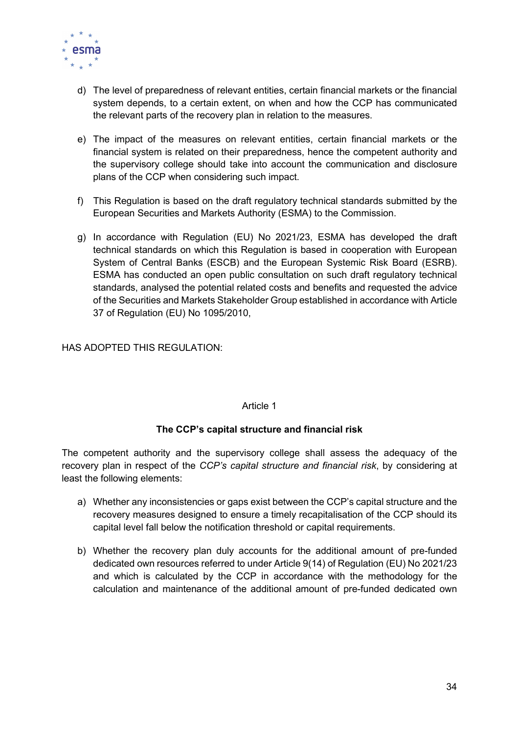

- d) The level of preparedness of relevant entities, certain financial markets or the financial system depends, to a certain extent, on when and how the CCP has communicated the relevant parts of the recovery plan in relation to the measures.
- e) The impact of the measures on relevant entities, certain financial markets or the financial system is related on their preparedness, hence the competent authority and the supervisory college should take into account the communication and disclosure plans of the CCP when considering such impact.
- f) This Regulation is based on the draft regulatory technical standards submitted by the European Securities and Markets Authority (ESMA) to the Commission.
- g) In accordance with Regulation (EU) No 2021/23, ESMA has developed the draft technical standards on which this Regulation is based in cooperation with European System of Central Banks (ESCB) and the European Systemic Risk Board (ESRB). ESMA has conducted an open public consultation on such draft regulatory technical standards, analysed the potential related costs and benefits and requested the advice of the Securities and Markets Stakeholder Group established in accordance with Article 37 of Regulation (EU) No 1095/2010,

HAS ADOPTED THIS REGULATION:

#### Article 1

# The CCP's capital structure and financial risk

The competent authority and the supervisory college shall assess the adequacy of the recovery plan in respect of the CCP's capital structure and financial risk, by considering at least the following elements:

- a) Whether any inconsistencies or gaps exist between the CCP's capital structure and the recovery measures designed to ensure a timely recapitalisation of the CCP should its capital level fall below the notification threshold or capital requirements.
- b) Whether the recovery plan duly accounts for the additional amount of pre-funded dedicated own resources referred to under Article 9(14) of Regulation (EU) No 2021/23 and which is calculated by the CCP in accordance with the methodology for the calculation and maintenance of the additional amount of pre-funded dedicated own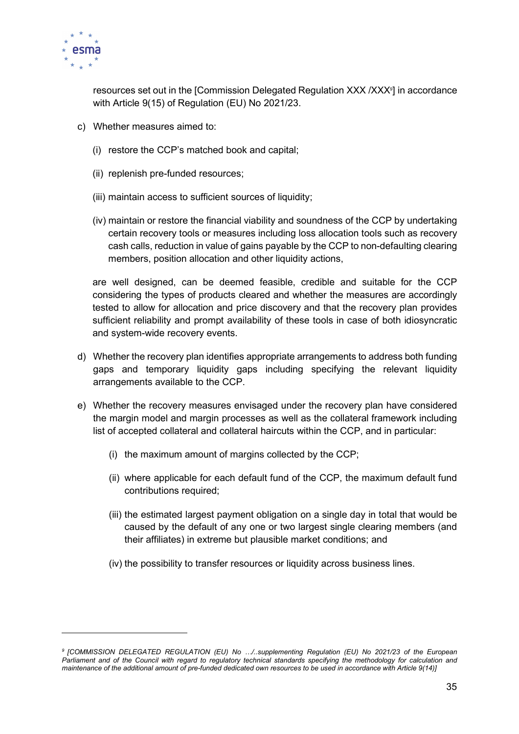

resources set out in the [Commission Delegated Regulation XXX /XXX9] in accordance with Article 9(15) of Regulation (EU) No 2021/23.

- c) Whether measures aimed to:
	- (i) restore the CCP's matched book and capital;
	- (ii) replenish pre-funded resources;
	- (iii) maintain access to sufficient sources of liquidity;
	- (iv) maintain or restore the financial viability and soundness of the CCP by undertaking certain recovery tools or measures including loss allocation tools such as recovery cash calls, reduction in value of gains payable by the CCP to non-defaulting clearing members, position allocation and other liquidity actions,

are well designed, can be deemed feasible, credible and suitable for the CCP considering the types of products cleared and whether the measures are accordingly tested to allow for allocation and price discovery and that the recovery plan provides sufficient reliability and prompt availability of these tools in case of both idiosyncratic and system-wide recovery events.

- d) Whether the recovery plan identifies appropriate arrangements to address both funding gaps and temporary liquidity gaps including specifying the relevant liquidity arrangements available to the CCP.
- e) Whether the recovery measures envisaged under the recovery plan have considered the margin model and margin processes as well as the collateral framework including list of accepted collateral and collateral haircuts within the CCP, and in particular:
	- (i) the maximum amount of margins collected by the CCP;
	- (ii) where applicable for each default fund of the CCP, the maximum default fund contributions required;
	- (iii) the estimated largest payment obligation on a single day in total that would be caused by the default of any one or two largest single clearing members (and their affiliates) in extreme but plausible market conditions; and
	- (iv) the possibility to transfer resources or liquidity across business lines.

<sup>9</sup> [COMMISSION DELEGATED REGULATION (EU) No …/..supplementing Regulation (EU) No 2021/23 of the European Parliament and of the Council with regard to regulatory technical standards specifying the methodology for calculation and maintenance of the additional amount of pre-funded dedicated own resources to be used in accordance with Article 9(14)]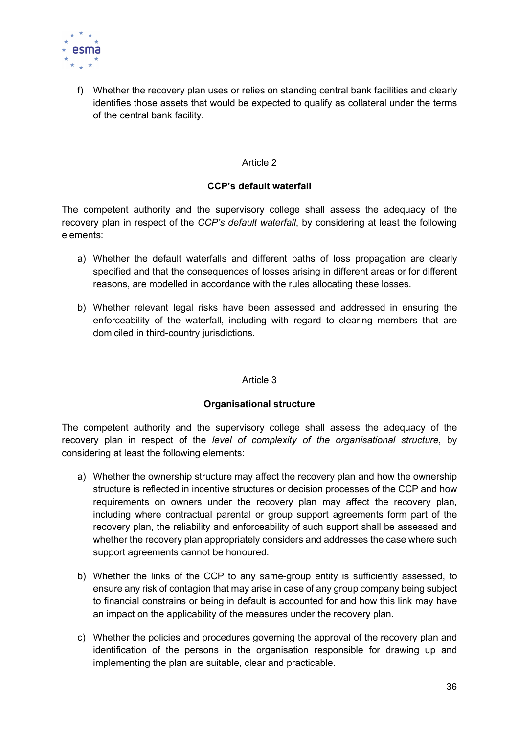

f) Whether the recovery plan uses or relies on standing central bank facilities and clearly identifies those assets that would be expected to qualify as collateral under the terms of the central bank facility.

#### Article 2

### CCP's default waterfall

The competent authority and the supervisory college shall assess the adequacy of the recovery plan in respect of the CCP's default waterfall, by considering at least the following elements:

- a) Whether the default waterfalls and different paths of loss propagation are clearly specified and that the consequences of losses arising in different areas or for different reasons, are modelled in accordance with the rules allocating these losses.
- b) Whether relevant legal risks have been assessed and addressed in ensuring the enforceability of the waterfall, including with regard to clearing members that are domiciled in third-country jurisdictions.

#### Article 3

#### Organisational structure

The competent authority and the supervisory college shall assess the adequacy of the recovery plan in respect of the level of complexity of the organisational structure, by considering at least the following elements:

- a) Whether the ownership structure may affect the recovery plan and how the ownership structure is reflected in incentive structures or decision processes of the CCP and how requirements on owners under the recovery plan may affect the recovery plan, including where contractual parental or group support agreements form part of the recovery plan, the reliability and enforceability of such support shall be assessed and whether the recovery plan appropriately considers and addresses the case where such support agreements cannot be honoured.
- b) Whether the links of the CCP to any same-group entity is sufficiently assessed, to ensure any risk of contagion that may arise in case of any group company being subject to financial constrains or being in default is accounted for and how this link may have an impact on the applicability of the measures under the recovery plan.
- c) Whether the policies and procedures governing the approval of the recovery plan and identification of the persons in the organisation responsible for drawing up and implementing the plan are suitable, clear and practicable.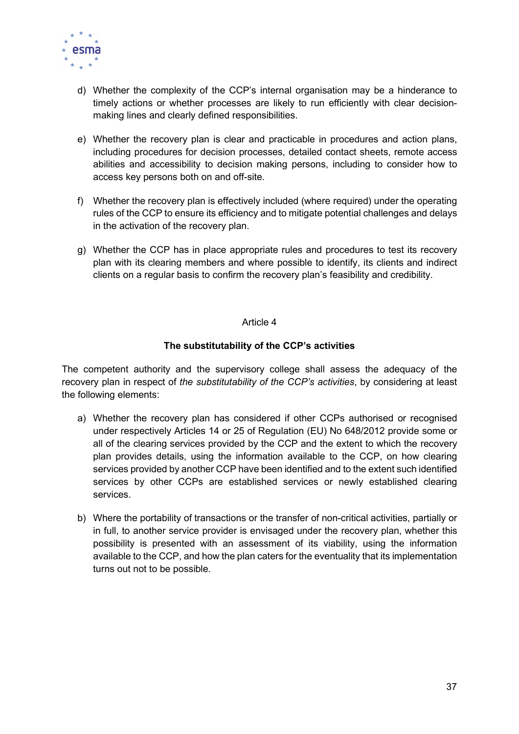

- d) Whether the complexity of the CCP's internal organisation may be a hinderance to timely actions or whether processes are likely to run efficiently with clear decisionmaking lines and clearly defined responsibilities.
- e) Whether the recovery plan is clear and practicable in procedures and action plans, including procedures for decision processes, detailed contact sheets, remote access abilities and accessibility to decision making persons, including to consider how to access key persons both on and off-site.
- f) Whether the recovery plan is effectively included (where required) under the operating rules of the CCP to ensure its efficiency and to mitigate potential challenges and delays in the activation of the recovery plan.
- g) Whether the CCP has in place appropriate rules and procedures to test its recovery plan with its clearing members and where possible to identify, its clients and indirect clients on a regular basis to confirm the recovery plan's feasibility and credibility.

### The substitutability of the CCP's activities

The competent authority and the supervisory college shall assess the adequacy of the recovery plan in respect of the *substitutability of the CCP's activities*, by considering at least the following elements:

- a) Whether the recovery plan has considered if other CCPs authorised or recognised under respectively Articles 14 or 25 of Regulation (EU) No 648/2012 provide some or all of the clearing services provided by the CCP and the extent to which the recovery plan provides details, using the information available to the CCP, on how clearing services provided by another CCP have been identified and to the extent such identified services by other CCPs are established services or newly established clearing services.
- b) Where the portability of transactions or the transfer of non-critical activities, partially or in full, to another service provider is envisaged under the recovery plan, whether this possibility is presented with an assessment of its viability, using the information available to the CCP, and how the plan caters for the eventuality that its implementation turns out not to be possible.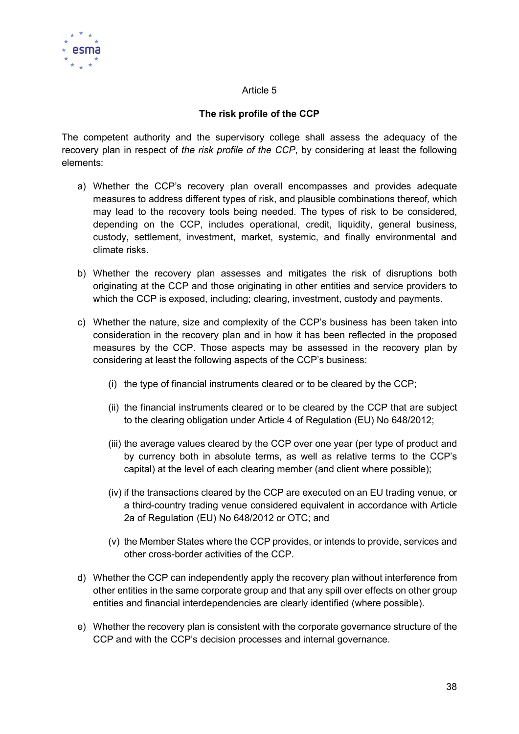

# The risk profile of the CCP

The competent authority and the supervisory college shall assess the adequacy of the recovery plan in respect of the risk profile of the CCP, by considering at least the following elements:

- a) Whether the CCP's recovery plan overall encompasses and provides adequate measures to address different types of risk, and plausible combinations thereof, which may lead to the recovery tools being needed. The types of risk to be considered, depending on the CCP, includes operational, credit, liquidity, general business, custody, settlement, investment, market, systemic, and finally environmental and climate risks.
- b) Whether the recovery plan assesses and mitigates the risk of disruptions both originating at the CCP and those originating in other entities and service providers to which the CCP is exposed, including; clearing, investment, custody and payments.
- c) Whether the nature, size and complexity of the CCP's business has been taken into consideration in the recovery plan and in how it has been reflected in the proposed measures by the CCP. Those aspects may be assessed in the recovery plan by considering at least the following aspects of the CCP's business:
	- (i) the type of financial instruments cleared or to be cleared by the CCP;
	- (ii) the financial instruments cleared or to be cleared by the CCP that are subject to the clearing obligation under Article 4 of Regulation (EU) No 648/2012;
	- (iii) the average values cleared by the CCP over one year (per type of product and by currency both in absolute terms, as well as relative terms to the CCP's capital) at the level of each clearing member (and client where possible);
	- (iv) if the transactions cleared by the CCP are executed on an EU trading venue, or a third-country trading venue considered equivalent in accordance with Article 2a of Regulation (EU) No 648/2012 or OTC; and
	- (v) the Member States where the CCP provides, or intends to provide, services and other cross-border activities of the CCP.
- d) Whether the CCP can independently apply the recovery plan without interference from other entities in the same corporate group and that any spill over effects on other group entities and financial interdependencies are clearly identified (where possible).
- e) Whether the recovery plan is consistent with the corporate governance structure of the CCP and with the CCP's decision processes and internal governance.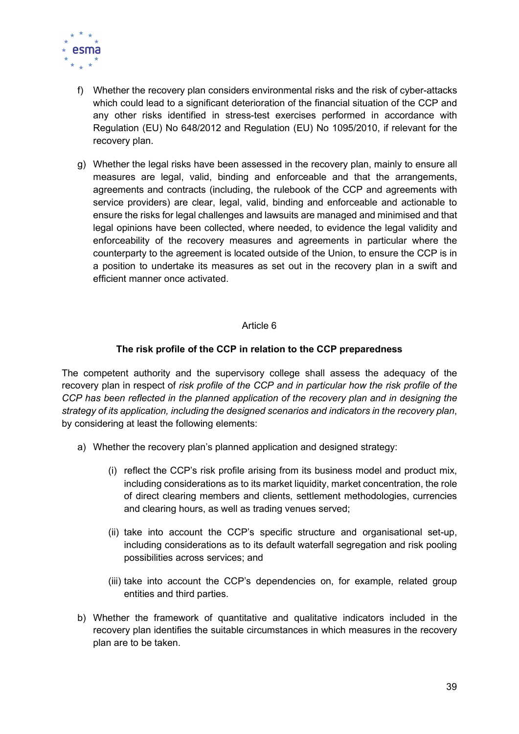

- f) Whether the recovery plan considers environmental risks and the risk of cyber-attacks which could lead to a significant deterioration of the financial situation of the CCP and any other risks identified in stress-test exercises performed in accordance with Regulation (EU) No 648/2012 and Regulation (EU) No 1095/2010, if relevant for the recovery plan.
- g) Whether the legal risks have been assessed in the recovery plan, mainly to ensure all measures are legal, valid, binding and enforceable and that the arrangements, agreements and contracts (including, the rulebook of the CCP and agreements with service providers) are clear, legal, valid, binding and enforceable and actionable to ensure the risks for legal challenges and lawsuits are managed and minimised and that legal opinions have been collected, where needed, to evidence the legal validity and enforceability of the recovery measures and agreements in particular where the counterparty to the agreement is located outside of the Union, to ensure the CCP is in a position to undertake its measures as set out in the recovery plan in a swift and efficient manner once activated.

### The risk profile of the CCP in relation to the CCP preparedness

The competent authority and the supervisory college shall assess the adequacy of the recovery plan in respect of risk profile of the CCP and in particular how the risk profile of the CCP has been reflected in the planned application of the recovery plan and in designing the strategy of its application, including the designed scenarios and indicators in the recovery plan, by considering at least the following elements:

- a) Whether the recovery plan's planned application and designed strategy:
	- (i) reflect the CCP's risk profile arising from its business model and product mix, including considerations as to its market liquidity, market concentration, the role of direct clearing members and clients, settlement methodologies, currencies and clearing hours, as well as trading venues served;
	- (ii) take into account the CCP's specific structure and organisational set-up, including considerations as to its default waterfall segregation and risk pooling possibilities across services; and
	- (iii) take into account the CCP's dependencies on, for example, related group entities and third parties.
- b) Whether the framework of quantitative and qualitative indicators included in the recovery plan identifies the suitable circumstances in which measures in the recovery plan are to be taken.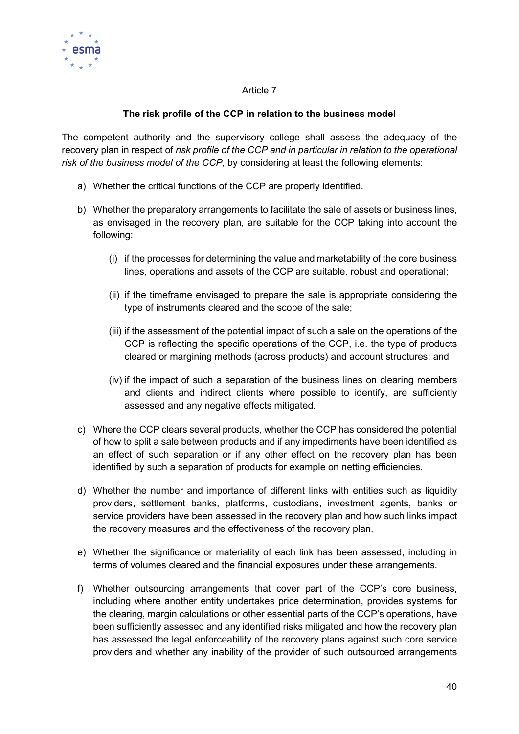

# The risk profile of the CCP in relation to the business model

The competent authority and the supervisory college shall assess the adequacy of the recovery plan in respect of risk profile of the CCP and in particular in relation to the operational risk of the business model of the CCP, by considering at least the following elements:

- a) Whether the critical functions of the CCP are properly identified.
- b) Whether the preparatory arrangements to facilitate the sale of assets or business lines, as envisaged in the recovery plan, are suitable for the CCP taking into account the following:
	- (i) if the processes for determining the value and marketability of the core business lines, operations and assets of the CCP are suitable, robust and operational;
	- (ii) if the timeframe envisaged to prepare the sale is appropriate considering the type of instruments cleared and the scope of the sale;
	- (iii) if the assessment of the potential impact of such a sale on the operations of the CCP is reflecting the specific operations of the CCP, i.e. the type of products cleared or margining methods (across products) and account structures; and
	- (iv) if the impact of such a separation of the business lines on clearing members and clients and indirect clients where possible to identify, are sufficiently assessed and any negative effects mitigated.
- c) Where the CCP clears several products, whether the CCP has considered the potential of how to split a sale between products and if any impediments have been identified as an effect of such separation or if any other effect on the recovery plan has been identified by such a separation of products for example on netting efficiencies.
- d) Whether the number and importance of different links with entities such as liquidity providers, settlement banks, platforms, custodians, investment agents, banks or service providers have been assessed in the recovery plan and how such links impact the recovery measures and the effectiveness of the recovery plan.
- e) Whether the significance or materiality of each link has been assessed, including in terms of volumes cleared and the financial exposures under these arrangements.
- f) Whether outsourcing arrangements that cover part of the CCP's core business, including where another entity undertakes price determination, provides systems for the clearing, margin calculations or other essential parts of the CCP's operations, have been sufficiently assessed and any identified risks mitigated and how the recovery plan has assessed the legal enforceability of the recovery plans against such core service providers and whether any inability of the provider of such outsourced arrangements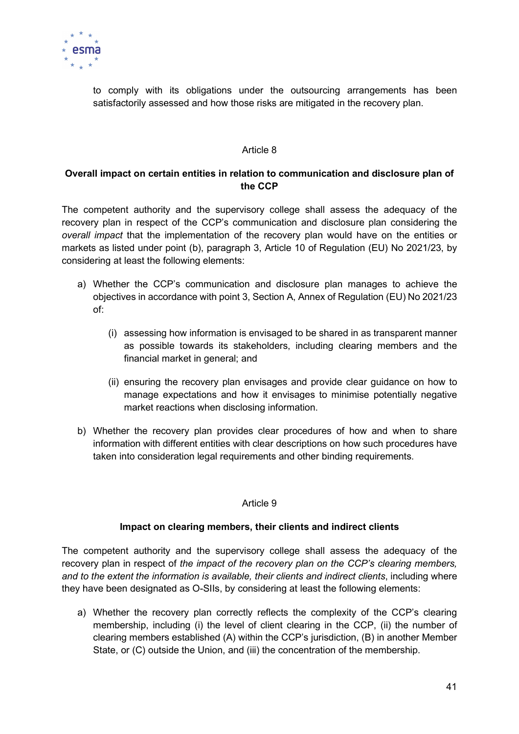

to comply with its obligations under the outsourcing arrangements has been satisfactorily assessed and how those risks are mitigated in the recovery plan.

#### Article 8

### Overall impact on certain entities in relation to communication and disclosure plan of the CCP

The competent authority and the supervisory college shall assess the adequacy of the recovery plan in respect of the CCP's communication and disclosure plan considering the overall impact that the implementation of the recovery plan would have on the entities or markets as listed under point (b), paragraph 3, Article 10 of Regulation (EU) No 2021/23, by considering at least the following elements:

- a) Whether the CCP's communication and disclosure plan manages to achieve the objectives in accordance with point 3, Section A, Annex of Regulation (EU) No 2021/23 of:
	- (i) assessing how information is envisaged to be shared in as transparent manner as possible towards its stakeholders, including clearing members and the financial market in general; and
	- (ii) ensuring the recovery plan envisages and provide clear guidance on how to manage expectations and how it envisages to minimise potentially negative market reactions when disclosing information.
- b) Whether the recovery plan provides clear procedures of how and when to share information with different entities with clear descriptions on how such procedures have taken into consideration legal requirements and other binding requirements.

#### Article 9

#### Impact on clearing members, their clients and indirect clients

The competent authority and the supervisory college shall assess the adequacy of the recovery plan in respect of the impact of the recovery plan on the CCP's clearing members, and to the extent the information is available, their clients and indirect clients, including where they have been designated as O-SIIs, by considering at least the following elements:

a) Whether the recovery plan correctly reflects the complexity of the CCP's clearing membership, including (i) the level of client clearing in the CCP, (ii) the number of clearing members established (A) within the CCP's jurisdiction, (B) in another Member State, or (C) outside the Union, and (iii) the concentration of the membership.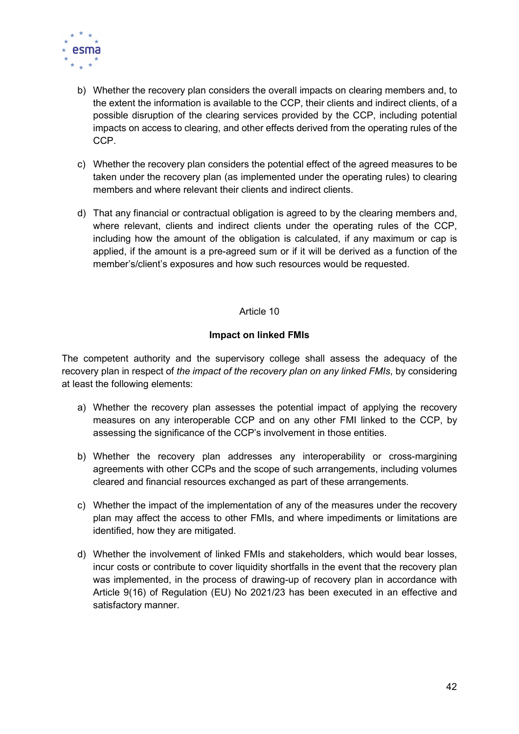

- b) Whether the recovery plan considers the overall impacts on clearing members and, to the extent the information is available to the CCP, their clients and indirect clients, of a possible disruption of the clearing services provided by the CCP, including potential impacts on access to clearing, and other effects derived from the operating rules of the CCP.
- c) Whether the recovery plan considers the potential effect of the agreed measures to be taken under the recovery plan (as implemented under the operating rules) to clearing members and where relevant their clients and indirect clients.
- d) That any financial or contractual obligation is agreed to by the clearing members and, where relevant, clients and indirect clients under the operating rules of the CCP, including how the amount of the obligation is calculated, if any maximum or cap is applied, if the amount is a pre-agreed sum or if it will be derived as a function of the member's/client's exposures and how such resources would be requested.

### Impact on linked FMIs

The competent authority and the supervisory college shall assess the adequacy of the recovery plan in respect of the impact of the recovery plan on any linked FMIs, by considering at least the following elements:

- a) Whether the recovery plan assesses the potential impact of applying the recovery measures on any interoperable CCP and on any other FMI linked to the CCP, by assessing the significance of the CCP's involvement in those entities.
- b) Whether the recovery plan addresses any interoperability or cross-margining agreements with other CCPs and the scope of such arrangements, including volumes cleared and financial resources exchanged as part of these arrangements.
- c) Whether the impact of the implementation of any of the measures under the recovery plan may affect the access to other FMIs, and where impediments or limitations are identified, how they are mitigated.
- d) Whether the involvement of linked FMIs and stakeholders, which would bear losses, incur costs or contribute to cover liquidity shortfalls in the event that the recovery plan was implemented, in the process of drawing-up of recovery plan in accordance with Article 9(16) of Regulation (EU) No 2021/23 has been executed in an effective and satisfactory manner.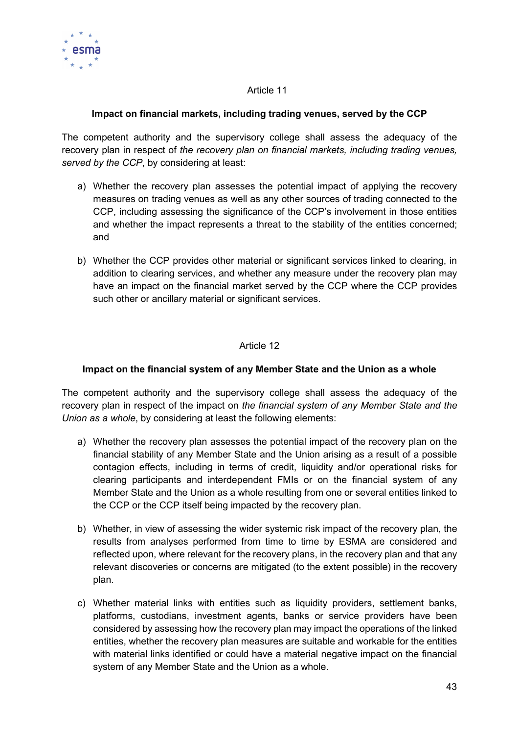

### Impact on financial markets, including trading venues, served by the CCP

The competent authority and the supervisory college shall assess the adequacy of the recovery plan in respect of the recovery plan on financial markets, including trading venues, served by the CCP, by considering at least:

- a) Whether the recovery plan assesses the potential impact of applying the recovery measures on trading venues as well as any other sources of trading connected to the CCP, including assessing the significance of the CCP's involvement in those entities and whether the impact represents a threat to the stability of the entities concerned; and
- b) Whether the CCP provides other material or significant services linked to clearing, in addition to clearing services, and whether any measure under the recovery plan may have an impact on the financial market served by the CCP where the CCP provides such other or ancillary material or significant services.

### Article 12

#### Impact on the financial system of any Member State and the Union as a whole

The competent authority and the supervisory college shall assess the adequacy of the recovery plan in respect of the impact on the financial system of any Member State and the Union as a whole, by considering at least the following elements:

- a) Whether the recovery plan assesses the potential impact of the recovery plan on the financial stability of any Member State and the Union arising as a result of a possible contagion effects, including in terms of credit, liquidity and/or operational risks for clearing participants and interdependent FMIs or on the financial system of any Member State and the Union as a whole resulting from one or several entities linked to the CCP or the CCP itself being impacted by the recovery plan.
- b) Whether, in view of assessing the wider systemic risk impact of the recovery plan, the results from analyses performed from time to time by ESMA are considered and reflected upon, where relevant for the recovery plans, in the recovery plan and that any relevant discoveries or concerns are mitigated (to the extent possible) in the recovery plan.
- c) Whether material links with entities such as liquidity providers, settlement banks, platforms, custodians, investment agents, banks or service providers have been considered by assessing how the recovery plan may impact the operations of the linked entities, whether the recovery plan measures are suitable and workable for the entities with material links identified or could have a material negative impact on the financial system of any Member State and the Union as a whole.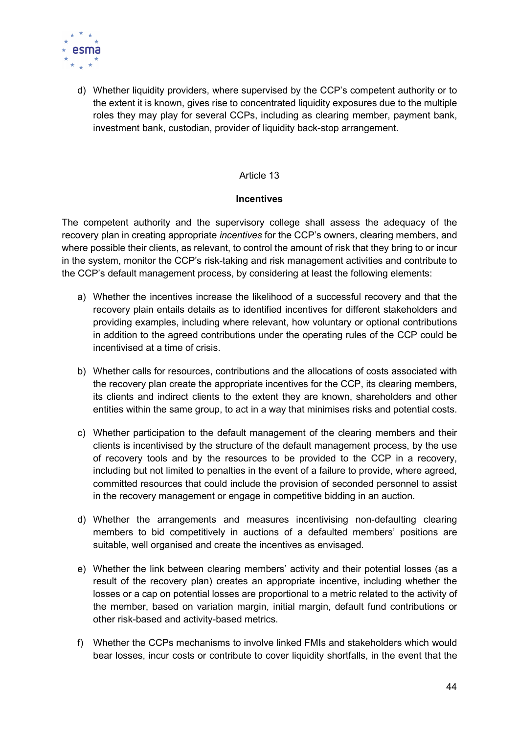

d) Whether liquidity providers, where supervised by the CCP's competent authority or to the extent it is known, gives rise to concentrated liquidity exposures due to the multiple roles they may play for several CCPs, including as clearing member, payment bank, investment bank, custodian, provider of liquidity back-stop arrangement.

#### Article 13

#### **Incentives**

The competent authority and the supervisory college shall assess the adequacy of the recovery plan in creating appropriate *incentives* for the CCP's owners, clearing members, and where possible their clients, as relevant, to control the amount of risk that they bring to or incur in the system, monitor the CCP's risk-taking and risk management activities and contribute to the CCP's default management process, by considering at least the following elements:

- a) Whether the incentives increase the likelihood of a successful recovery and that the recovery plain entails details as to identified incentives for different stakeholders and providing examples, including where relevant, how voluntary or optional contributions in addition to the agreed contributions under the operating rules of the CCP could be incentivised at a time of crisis.
- b) Whether calls for resources, contributions and the allocations of costs associated with the recovery plan create the appropriate incentives for the CCP, its clearing members, its clients and indirect clients to the extent they are known, shareholders and other entities within the same group, to act in a way that minimises risks and potential costs.
- c) Whether participation to the default management of the clearing members and their clients is incentivised by the structure of the default management process, by the use of recovery tools and by the resources to be provided to the CCP in a recovery, including but not limited to penalties in the event of a failure to provide, where agreed, committed resources that could include the provision of seconded personnel to assist in the recovery management or engage in competitive bidding in an auction.
- d) Whether the arrangements and measures incentivising non-defaulting clearing members to bid competitively in auctions of a defaulted members' positions are suitable, well organised and create the incentives as envisaged.
- e) Whether the link between clearing members' activity and their potential losses (as a result of the recovery plan) creates an appropriate incentive, including whether the losses or a cap on potential losses are proportional to a metric related to the activity of the member, based on variation margin, initial margin, default fund contributions or other risk-based and activity-based metrics.
- f) Whether the CCPs mechanisms to involve linked FMIs and stakeholders which would bear losses, incur costs or contribute to cover liquidity shortfalls, in the event that the